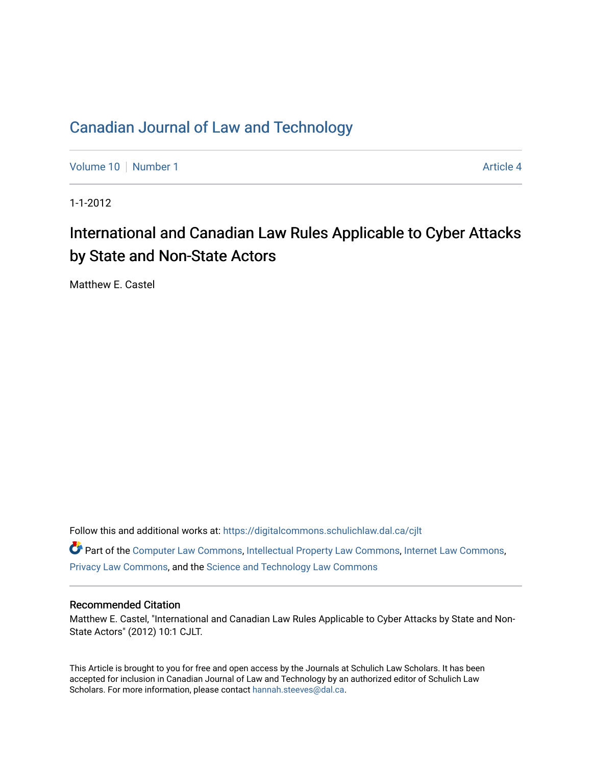## [Canadian Journal of Law and Technology](https://digitalcommons.schulichlaw.dal.ca/cjlt)

[Volume 10](https://digitalcommons.schulichlaw.dal.ca/cjlt/vol10) [Number 1](https://digitalcommons.schulichlaw.dal.ca/cjlt/vol10/iss1) Article 4

1-1-2012

# International and Canadian Law Rules Applicable to Cyber Attacks by State and Non-State Actors

Matthew E. Castel

Follow this and additional works at: [https://digitalcommons.schulichlaw.dal.ca/cjlt](https://digitalcommons.schulichlaw.dal.ca/cjlt?utm_source=digitalcommons.schulichlaw.dal.ca%2Fcjlt%2Fvol10%2Fiss1%2F4&utm_medium=PDF&utm_campaign=PDFCoverPages) 

Part of the [Computer Law Commons,](http://network.bepress.com/hgg/discipline/837?utm_source=digitalcommons.schulichlaw.dal.ca%2Fcjlt%2Fvol10%2Fiss1%2F4&utm_medium=PDF&utm_campaign=PDFCoverPages) [Intellectual Property Law Commons,](http://network.bepress.com/hgg/discipline/896?utm_source=digitalcommons.schulichlaw.dal.ca%2Fcjlt%2Fvol10%2Fiss1%2F4&utm_medium=PDF&utm_campaign=PDFCoverPages) [Internet Law Commons,](http://network.bepress.com/hgg/discipline/892?utm_source=digitalcommons.schulichlaw.dal.ca%2Fcjlt%2Fvol10%2Fiss1%2F4&utm_medium=PDF&utm_campaign=PDFCoverPages) [Privacy Law Commons,](http://network.bepress.com/hgg/discipline/1234?utm_source=digitalcommons.schulichlaw.dal.ca%2Fcjlt%2Fvol10%2Fiss1%2F4&utm_medium=PDF&utm_campaign=PDFCoverPages) and the [Science and Technology Law Commons](http://network.bepress.com/hgg/discipline/875?utm_source=digitalcommons.schulichlaw.dal.ca%2Fcjlt%2Fvol10%2Fiss1%2F4&utm_medium=PDF&utm_campaign=PDFCoverPages) 

#### Recommended Citation

Matthew E. Castel, "International and Canadian Law Rules Applicable to Cyber Attacks by State and Non-State Actors" (2012) 10:1 CJLT.

This Article is brought to you for free and open access by the Journals at Schulich Law Scholars. It has been accepted for inclusion in Canadian Journal of Law and Technology by an authorized editor of Schulich Law Scholars. For more information, please contact [hannah.steeves@dal.ca](mailto:hannah.steeves@dal.ca).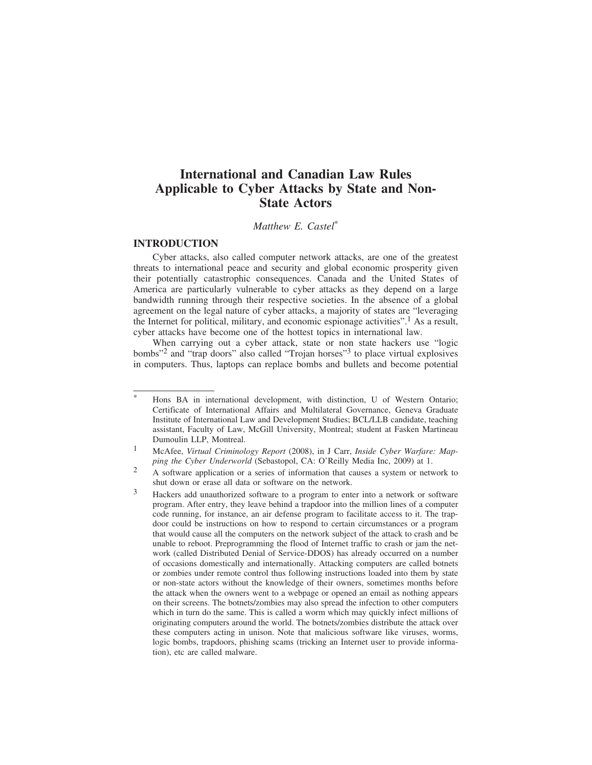### **International and Canadian Law Rules Applicable to Cyber Attacks by State and Non-State Actors**

*Matthew E. Castel*\*

#### **INTRODUCTION**

Cyber attacks, also called computer network attacks, are one of the greatest threats to international peace and security and global economic prosperity given their potentially catastrophic consequences. Canada and the United States of America are particularly vulnerable to cyber attacks as they depend on a large bandwidth running through their respective societies. In the absence of a global agreement on the legal nature of cyber attacks, a majority of states are "leveraging the Internet for political, military, and economic espionage activities".<sup>1</sup> As a result, cyber attacks have become one of the hottest topics in international law.

When carrying out a cyber attack, state or non state hackers use "logic bombs"2 and "trap doors" also called "Trojan horses"3 to place virtual explosives in computers. Thus, laptops can replace bombs and bullets and become potential

<sup>\*</sup> Hons BA in international development, with distinction, U of Western Ontario; Certificate of International Affairs and Multilateral Governance, Geneva Graduate Institute of International Law and Development Studies; BCL/LLB candidate, teaching assistant, Faculty of Law, McGill University, Montreal; student at Fasken Martineau Dumoulin LLP, Montreal.

<sup>1</sup> McAfee, *Virtual Criminology Report* (2008), in J Carr, *Inside Cyber Warfare: Mapping the Cyber Underworld* (Sebastopol, CA: O'Reilly Media Inc, 2009) at 1.

<sup>2</sup> A software application or a series of information that causes a system or network to shut down or erase all data or software on the network.

<sup>3</sup> Hackers add unauthorized software to a program to enter into a network or software program. After entry, they leave behind a trapdoor into the million lines of a computer code running, for instance, an air defense program to facilitate access to it. The trapdoor could be instructions on how to respond to certain circumstances or a program that would cause all the computers on the network subject of the attack to crash and be unable to reboot. Preprogramming the flood of Internet traffic to crash or jam the network (called Distributed Denial of Service-DDOS) has already occurred on a number of occasions domestically and internationally. Attacking computers are called botnets or zombies under remote control thus following instructions loaded into them by state or non-state actors without the knowledge of their owners, sometimes months before the attack when the owners went to a webpage or opened an email as nothing appears on their screens. The botnets/zombies may also spread the infection to other computers which in turn do the same. This is called a worm which may quickly infect millions of originating computers around the world. The botnets/zombies distribute the attack over these computers acting in unison. Note that malicious software like viruses, worms, logic bombs, trapdoors, phishing scams (tricking an Internet user to provide information), etc are called malware.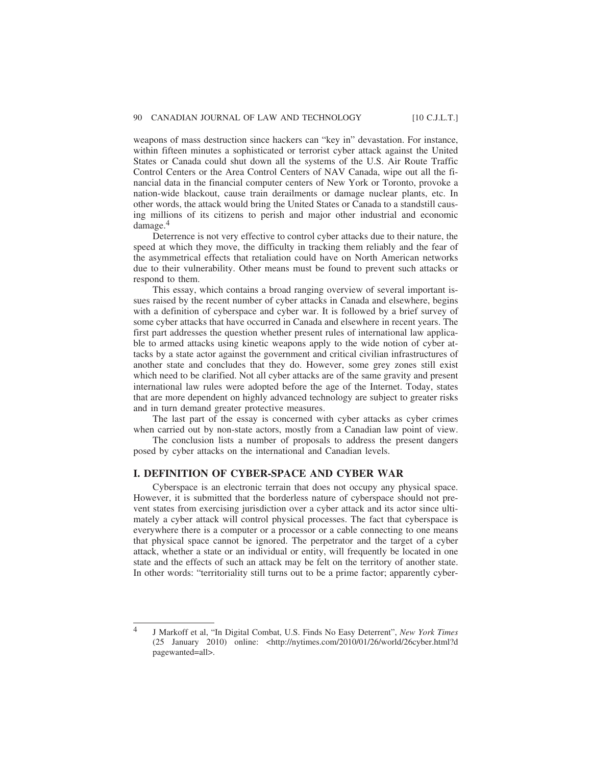weapons of mass destruction since hackers can "key in" devastation. For instance, within fifteen minutes a sophisticated or terrorist cyber attack against the United States or Canada could shut down all the systems of the U.S. Air Route Traffic Control Centers or the Area Control Centers of NAV Canada, wipe out all the financial data in the financial computer centers of New York or Toronto, provoke a nation-wide blackout, cause train derailments or damage nuclear plants, etc. In other words, the attack would bring the United States or Canada to a standstill causing millions of its citizens to perish and major other industrial and economic damage.4

Deterrence is not very effective to control cyber attacks due to their nature, the speed at which they move, the difficulty in tracking them reliably and the fear of the asymmetrical effects that retaliation could have on North American networks due to their vulnerability. Other means must be found to prevent such attacks or respond to them.

This essay, which contains a broad ranging overview of several important issues raised by the recent number of cyber attacks in Canada and elsewhere, begins with a definition of cyberspace and cyber war. It is followed by a brief survey of some cyber attacks that have occurred in Canada and elsewhere in recent years. The first part addresses the question whether present rules of international law applicable to armed attacks using kinetic weapons apply to the wide notion of cyber attacks by a state actor against the government and critical civilian infrastructures of another state and concludes that they do. However, some grey zones still exist which need to be clarified. Not all cyber attacks are of the same gravity and present international law rules were adopted before the age of the Internet. Today, states that are more dependent on highly advanced technology are subject to greater risks and in turn demand greater protective measures.

The last part of the essay is concerned with cyber attacks as cyber crimes when carried out by non-state actors, mostly from a Canadian law point of view.

The conclusion lists a number of proposals to address the present dangers posed by cyber attacks on the international and Canadian levels.

#### **I. DEFINITION OF CYBER-SPACE AND CYBER WAR**

Cyberspace is an electronic terrain that does not occupy any physical space. However, it is submitted that the borderless nature of cyberspace should not prevent states from exercising jurisdiction over a cyber attack and its actor since ultimately a cyber attack will control physical processes. The fact that cyberspace is everywhere there is a computer or a processor or a cable connecting to one means that physical space cannot be ignored. The perpetrator and the target of a cyber attack, whether a state or an individual or entity, will frequently be located in one state and the effects of such an attack may be felt on the territory of another state. In other words: "territoriality still turns out to be a prime factor; apparently cyber-

<sup>4</sup> J Markoff et al, "In Digital Combat, U.S. Finds No Easy Deterrent", *New York Times* (25 January 2010) online: <http://nytimes.com/2010/01/26/world/26cyber.html?d pagewanted=all>.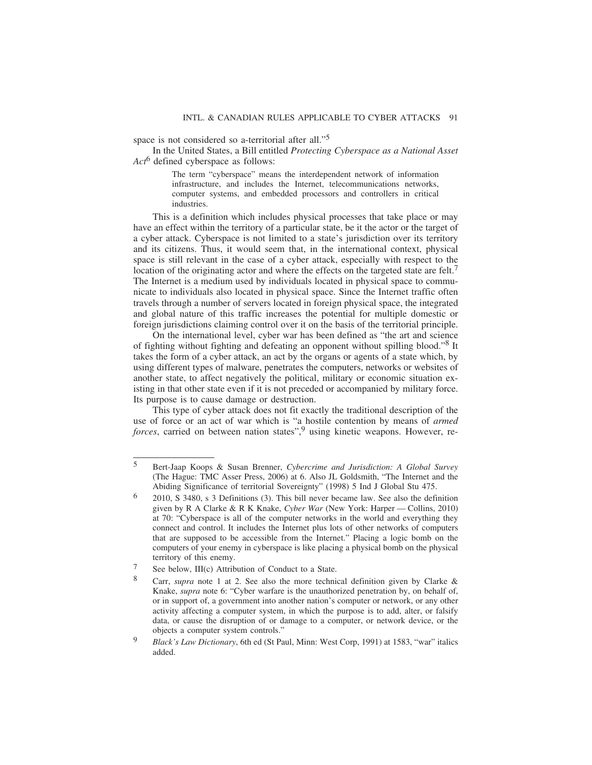space is not considered so a-territorial after all."5

In the United States, a Bill entitled *Protecting Cyberspace as a National Asset Act*6 defined cyberspace as follows:

> The term "cyberspace" means the interdependent network of information infrastructure, and includes the Internet, telecommunications networks, computer systems, and embedded processors and controllers in critical industries.

This is a definition which includes physical processes that take place or may have an effect within the territory of a particular state, be it the actor or the target of a cyber attack. Cyberspace is not limited to a state's jurisdiction over its territory and its citizens. Thus, it would seem that, in the international context, physical space is still relevant in the case of a cyber attack, especially with respect to the location of the originating actor and where the effects on the targeted state are felt.<sup>7</sup> The Internet is a medium used by individuals located in physical space to communicate to individuals also located in physical space. Since the Internet traffic often travels through a number of servers located in foreign physical space, the integrated and global nature of this traffic increases the potential for multiple domestic or foreign jurisdictions claiming control over it on the basis of the territorial principle.

On the international level, cyber war has been defined as "the art and science of fighting without fighting and defeating an opponent without spilling blood."8 It takes the form of a cyber attack, an act by the organs or agents of a state which, by using different types of malware, penetrates the computers, networks or websites of another state, to affect negatively the political, military or economic situation existing in that other state even if it is not preceded or accompanied by military force. Its purpose is to cause damage or destruction.

This type of cyber attack does not fit exactly the traditional description of the use of force or an act of war which is "a hostile contention by means of *armed forces*, carried on between nation states",<sup>9</sup> using kinetic weapons. However, re-

<sup>5</sup> Bert-Jaap Koops & Susan Brenner, *Cybercrime and Jurisdiction: A Global Survey* (The Hague: TMC Asser Press, 2006) at 6. Also JL Goldsmith, "The Internet and the Abiding Significance of territorial Sovereignty" (1998) 5 Ind J Global Stu 475.

<sup>6</sup> 2010, S 3480, s 3 Definitions (3). This bill never became law. See also the definition given by R A Clarke & R K Knake, *Cyber War* (New York: Harper — Collins, 2010) at 70: "Cyberspace is all of the computer networks in the world and everything they connect and control. It includes the Internet plus lots of other networks of computers that are supposed to be accessible from the Internet." Placing a logic bomb on the computers of your enemy in cyberspace is like placing a physical bomb on the physical territory of this enemy.

 $\frac{7}{8}$  See below, III(c) Attribution of Conduct to a State.

Carr, *supra* note 1 at 2. See also the more technical definition given by Clarke & Knake, *supra* note 6: "Cyber warfare is the unauthorized penetration by, on behalf of, or in support of, a government into another nation's computer or network, or any other activity affecting a computer system, in which the purpose is to add, alter, or falsify data, or cause the disruption of or damage to a computer, or network device, or the objects a computer system controls."

<sup>9</sup> *Black's Law Dictionary*, 6th ed (St Paul, Minn: West Corp, 1991) at 1583, "war" italics added.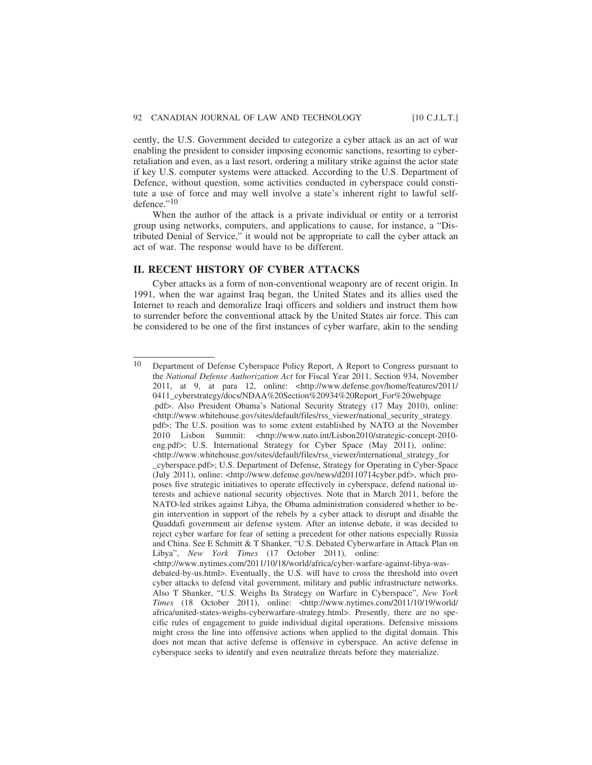cently, the U.S. Government decided to categorize a cyber attack as an act of war enabling the president to consider imposing economic sanctions, resorting to cyberretaliation and even, as a last resort, ordering a military strike against the actor state if key U.S. computer systems were attacked. According to the U.S. Department of Defence, without question, some activities conducted in cyberspace could constitute a use of force and may well involve a state's inherent right to lawful selfdefence."<sup>10</sup>

When the author of the attack is a private individual or entity or a terrorist group using networks, computers, and applications to cause, for instance, a "Distributed Denial of Service," it would not be appropriate to call the cyber attack an act of war. The response would have to be different.

#### **II. RECENT HISTORY OF CYBER ATTACKS**

Cyber attacks as a form of non-conventional weaponry are of recent origin. In 1991, when the war against Iraq began, the United States and its allies used the Internet to reach and demoralize Iraqi officers and soldiers and instruct them how to surrender before the conventional attack by the United States air force. This can be considered to be one of the first instances of cyber warfare, akin to the sending

<sup>10</sup> Department of Defense Cyberspace Policy Report, A Report to Congress pursuant to the *National Defense Authorization Act* for Fiscal Year 2011, Section 934, November 2011, at 9, at para 12, online: <http://www.defense.gov/home/features/2011/ 0411\_cyberstrategy/docs/NDAA%20Section%20934%20Report\_For%20webpage .pdf>. Also President Obama's National Security Strategy (17 May 2010), online: <http://www.whitehouse.gov/sites/default/files/rss\_viewer/national\_security\_strategy. pdf>; The U.S. position was to some extent established by NATO at the November 2010 Lisbon Summit: <http://www.nato.int/Lisbon2010/strategic-concept-2010 eng.pdf>; U.S. International Strategy for Cyber Space (May 2011), online: <http://www.whitehouse.gov/sites/default/files/rss\_viewer/international\_strategy\_for \_cyberspace.pdf>; U.S. Department of Defense, Strategy for Operating in Cyber-Space (July 2011), online: <http://www.defense.gov/news/d20110714cyber.pdf>, which proposes five strategic initiatives to operate effectively in cyberspace, defend national interests and achieve national security objectives. Note that in March 2011, before the NATO-led strikes against Libya, the Obama administration considered whether to begin intervention in support of the rebels by a cyber attack to disrupt and disable the Quaddafi government air defense system. After an intense debate, it was decided to reject cyber warfare for fear of setting a precedent for other nations especially Russia and China. See E Schmitt & T Shanker, "U.S. Debated Cyberwarfare in Attack Plan on Libya", *New York Times* (17 October 2011), online: <http://www.nytimes.com/2011/10/18/world/africa/cyber-warfare-against-libya-wasdebated-by-us.html>. Eventually, the U.S. will have to cross the threshold into overt cyber attacks to defend vital government, military and public infrastructure networks. Also T Shanker, "U.S. Weighs Its Strategy on Warfare in Cyberspace", *New York Times* (18 October 2011), online: <http://www.nytimes.com/2011/10/19/world/ africa/united-states-weighs-cyberwarfare-strategy.html>. Presently, there are no specific rules of engagement to guide individual digital operations. Defensive missions might cross the line into offensive actions when applied to the digital domain. This does not mean that active defense is offensive in cyberspace. An active defense in cyberspace seeks to identify and even neutralize threats before they materialize.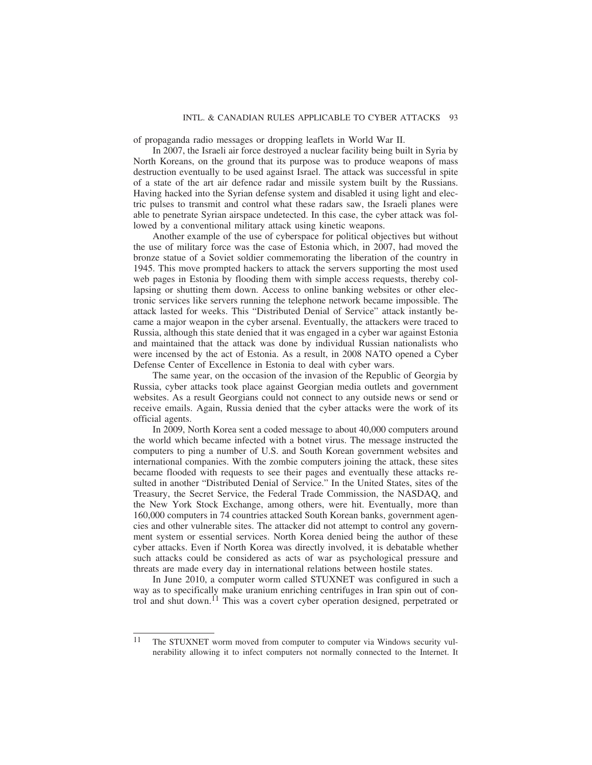of propaganda radio messages or dropping leaflets in World War II.

In 2007, the Israeli air force destroyed a nuclear facility being built in Syria by North Koreans, on the ground that its purpose was to produce weapons of mass destruction eventually to be used against Israel. The attack was successful in spite of a state of the art air defence radar and missile system built by the Russians. Having hacked into the Syrian defense system and disabled it using light and electric pulses to transmit and control what these radars saw, the Israeli planes were able to penetrate Syrian airspace undetected. In this case, the cyber attack was followed by a conventional military attack using kinetic weapons.

Another example of the use of cyberspace for political objectives but without the use of military force was the case of Estonia which, in 2007, had moved the bronze statue of a Soviet soldier commemorating the liberation of the country in 1945. This move prompted hackers to attack the servers supporting the most used web pages in Estonia by flooding them with simple access requests, thereby collapsing or shutting them down. Access to online banking websites or other electronic services like servers running the telephone network became impossible. The attack lasted for weeks. This "Distributed Denial of Service" attack instantly became a major weapon in the cyber arsenal. Eventually, the attackers were traced to Russia, although this state denied that it was engaged in a cyber war against Estonia and maintained that the attack was done by individual Russian nationalists who were incensed by the act of Estonia. As a result, in 2008 NATO opened a Cyber Defense Center of Excellence in Estonia to deal with cyber wars.

The same year, on the occasion of the invasion of the Republic of Georgia by Russia, cyber attacks took place against Georgian media outlets and government websites. As a result Georgians could not connect to any outside news or send or receive emails. Again, Russia denied that the cyber attacks were the work of its official agents.

In 2009, North Korea sent a coded message to about 40,000 computers around the world which became infected with a botnet virus. The message instructed the computers to ping a number of U.S. and South Korean government websites and international companies. With the zombie computers joining the attack, these sites became flooded with requests to see their pages and eventually these attacks resulted in another "Distributed Denial of Service." In the United States, sites of the Treasury, the Secret Service, the Federal Trade Commission, the NASDAQ, and the New York Stock Exchange, among others, were hit. Eventually, more than 160,000 computers in 74 countries attacked South Korean banks, government agencies and other vulnerable sites. The attacker did not attempt to control any government system or essential services. North Korea denied being the author of these cyber attacks. Even if North Korea was directly involved, it is debatable whether such attacks could be considered as acts of war as psychological pressure and threats are made every day in international relations between hostile states.

In June 2010, a computer worm called STUXNET was configured in such a way as to specifically make uranium enriching centrifuges in Iran spin out of control and shut down.<sup>11</sup> This was a covert cyber operation designed, perpetrated or

<sup>11</sup> The STUXNET worm moved from computer to computer via Windows security vulnerability allowing it to infect computers not normally connected to the Internet. It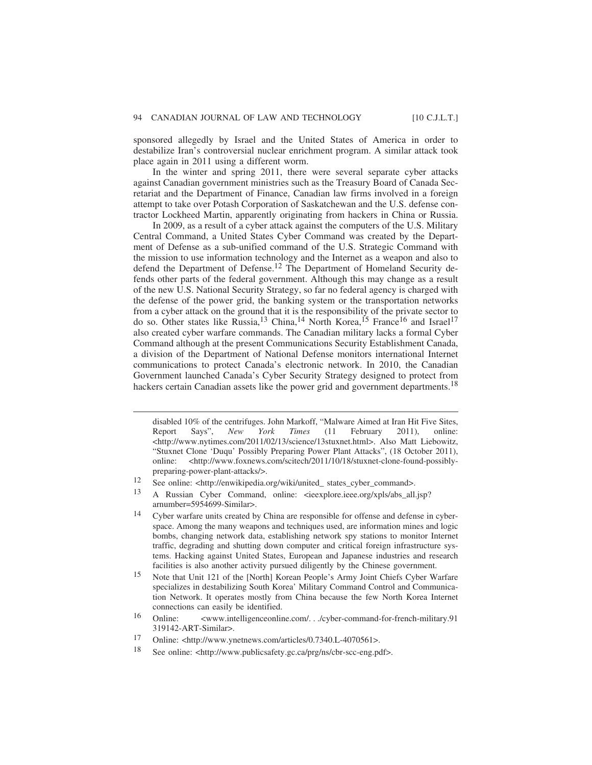sponsored allegedly by Israel and the United States of America in order to destabilize Iran's controversial nuclear enrichment program. A similar attack took place again in 2011 using a different worm.

In the winter and spring 2011, there were several separate cyber attacks against Canadian government ministries such as the Treasury Board of Canada Secretariat and the Department of Finance, Canadian law firms involved in a foreign attempt to take over Potash Corporation of Saskatchewan and the U.S. defense contractor Lockheed Martin, apparently originating from hackers in China or Russia.

In 2009, as a result of a cyber attack against the computers of the U.S. Military Central Command, a United States Cyber Command was created by the Department of Defense as a sub-unified command of the U.S. Strategic Command with the mission to use information technology and the Internet as a weapon and also to defend the Department of Defense.<sup>12</sup> The Department of Homeland Security defends other parts of the federal government. Although this may change as a result of the new U.S. National Security Strategy, so far no federal agency is charged with the defense of the power grid, the banking system or the transportation networks from a cyber attack on the ground that it is the responsibility of the private sector to do so. Other states like Russia,<sup>13</sup> China,<sup>14</sup> North Korea,<sup>15</sup> France<sup>16</sup> and Israel<sup>17</sup> also created cyber warfare commands. The Canadian military lacks a formal Cyber Command although at the present Communications Security Establishment Canada, a division of the Department of National Defense monitors international Internet communications to protect Canada's electronic network. In 2010, the Canadian Government launched Canada's Cyber Security Strategy designed to protect from hackers certain Canadian assets like the power grid and government departments.<sup>18</sup>

18 See online: <http://www.publicsafety.gc.ca/prg/ns/cbr-scc-eng.pdf>.

disabled 10% of the centrifuges. John Markoff, "Malware Aimed at Iran Hit Five Sites, Report Says", *New York Times* (11 February 2011), online: <http://www.nytimes.com/2011/02/13/science/13stuxnet.html>. Also Matt Liebowitz, "Stuxnet Clone 'Duqu' Possibly Preparing Power Plant Attacks", (18 October 2011), online: <http://www.foxnews.com/scitech/2011/10/18/stuxnet-clone-found-possiblypreparing-power-plant-attacks/>.

<sup>12</sup> See online: <http://enwikipedia.org/wiki/united\_ states\_cyber\_command>.

<sup>13</sup> A Russian Cyber Command, online: <ieexplore.ieee.org/xpls/abs\_all.jsp? arnumber=5954699-Similar>.

<sup>14</sup> Cyber warfare units created by China are responsible for offense and defense in cyberspace. Among the many weapons and techniques used, are information mines and logic bombs, changing network data, establishing network spy stations to monitor Internet traffic, degrading and shutting down computer and critical foreign infrastructure systems. Hacking against United States, European and Japanese industries and research facilities is also another activity pursued diligently by the Chinese government.

<sup>15</sup> Note that Unit 121 of the [North] Korean People's Army Joint Chiefs Cyber Warfare specializes in destabilizing South Korea' Military Command Control and Communication Network. It operates mostly from China because the few North Korea Internet connections can easily be identified.

<sup>16</sup> Online: <www.intelligenceonline.com/.../cyber-command-for-french-military.91 319142-ART-Similar>.

<sup>17</sup> Online: <http://www.ynetnews.com/articles/0.7340.L-4070561>.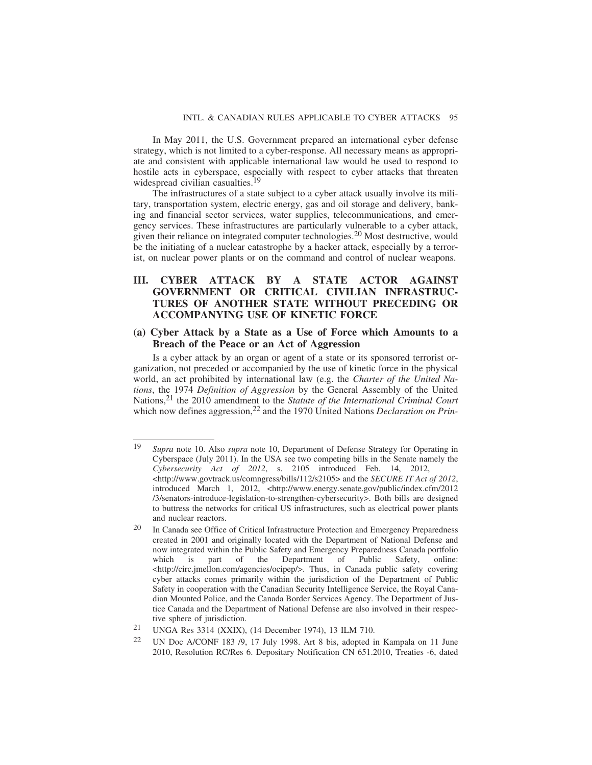In May 2011, the U.S. Government prepared an international cyber defense strategy, which is not limited to a cyber-response. All necessary means as appropriate and consistent with applicable international law would be used to respond to hostile acts in cyberspace, especially with respect to cyber attacks that threaten widespread civilian casualties.<sup>19</sup>

The infrastructures of a state subject to a cyber attack usually involve its military, transportation system, electric energy, gas and oil storage and delivery, banking and financial sector services, water supplies, telecommunications, and emergency services. These infrastructures are particularly vulnerable to a cyber attack, given their reliance on integrated computer technologies.20 Most destructive, would be the initiating of a nuclear catastrophe by a hacker attack, especially by a terrorist, on nuclear power plants or on the command and control of nuclear weapons.

#### **III. CYBER ATTACK BY A STATE ACTOR AGAINST GOVERNMENT OR CRITICAL CIVILIAN INFRASTRUC-TURES OF ANOTHER STATE WITHOUT PRECEDING OR ACCOMPANYING USE OF KINETIC FORCE**

#### **(a) Cyber Attack by a State as a Use of Force which Amounts to a Breach of the Peace or an Act of Aggression**

Is a cyber attack by an organ or agent of a state or its sponsored terrorist organization, not preceded or accompanied by the use of kinetic force in the physical world, an act prohibited by international law (e.g. the *Charter of the United Nations*, the 1974 *Definition of Aggression* by the General Assembly of the United Nations,21 the 2010 amendment to the *Statute of the International Criminal Court* which now defines aggression,<sup>22</sup> and the 1970 United Nations *Declaration on Prin-*

<sup>19</sup> *Supra* note 10. Also *supra* note 10, Department of Defense Strategy for Operating in Cyberspace (July 2011). In the USA see two competing bills in the Senate namely the *Cybersecurity Act of 2012*, s. 2105 introduced Feb. 14, 2012, <http://www.govtrack.us/comngress/bills/112/s2105> and the *SECURE IT Act of 2012*, introduced March 1, 2012, <http://www.energy.senate.gov/public/index.cfm/2012 /3/senators-introduce-legislation-to-strengthen-cybersecurity>. Both bills are designed to buttress the networks for critical US infrastructures, such as electrical power plants and nuclear reactors.

<sup>20</sup> In Canada see Office of Critical Infrastructure Protection and Emergency Preparedness created in 2001 and originally located with the Department of National Defense and now integrated within the Public Safety and Emergency Preparedness Canada portfolio which is part of the Department of Public Safety, online: <http://circ.jmellon.com/agencies/ocipep/>. Thus, in Canada public safety covering cyber attacks comes primarily within the jurisdiction of the Department of Public Safety in cooperation with the Canadian Security Intelligence Service, the Royal Canadian Mounted Police, and the Canada Border Services Agency. The Department of Justice Canada and the Department of National Defense are also involved in their respective sphere of jurisdiction.

<sup>21</sup> UNGA Res 3314 (XXIX), (14 December 1974), 13 ILM 710.

<sup>22</sup> UN Doc A/CONF 183 /9, 17 July 1998. Art 8 bis, adopted in Kampala on 11 June 2010, Resolution RC/Res 6. Depositary Notification CN 651.2010, Treaties -6, dated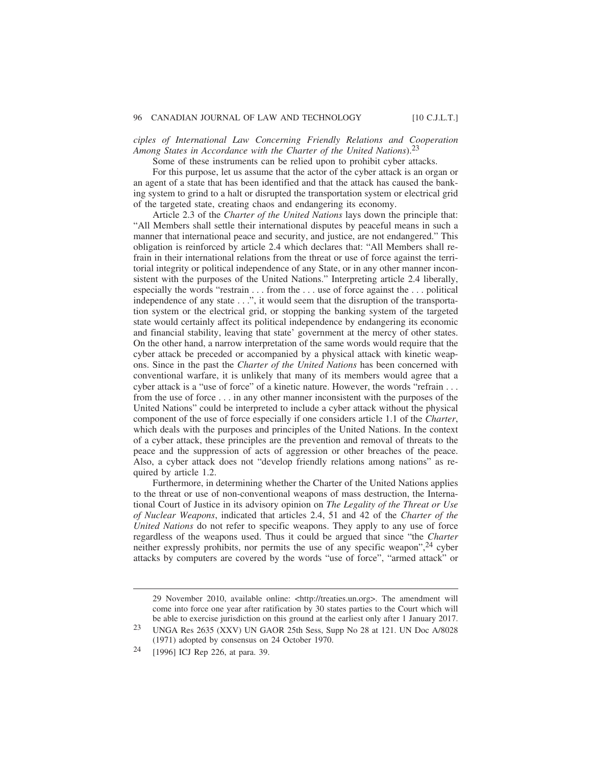*ciples of International Law Concerning Friendly Relations and Cooperation Among States in Accordance with the Charter of the United Nations*).23

Some of these instruments can be relied upon to prohibit cyber attacks.

For this purpose, let us assume that the actor of the cyber attack is an organ or an agent of a state that has been identified and that the attack has caused the banking system to grind to a halt or disrupted the transportation system or electrical grid of the targeted state, creating chaos and endangering its economy.

Article 2.3 of the *Charter of the United Nations* lays down the principle that: "All Members shall settle their international disputes by peaceful means in such a manner that international peace and security, and justice, are not endangered." This obligation is reinforced by article 2.4 which declares that: "All Members shall refrain in their international relations from the threat or use of force against the territorial integrity or political independence of any State, or in any other manner inconsistent with the purposes of the United Nations." Interpreting article 2.4 liberally, especially the words "restrain . . . from the . . . use of force against the . . . political independence of any state . . .", it would seem that the disruption of the transportation system or the electrical grid, or stopping the banking system of the targeted state would certainly affect its political independence by endangering its economic and financial stability, leaving that state' government at the mercy of other states. On the other hand, a narrow interpretation of the same words would require that the cyber attack be preceded or accompanied by a physical attack with kinetic weapons. Since in the past the *Charter of the United Nations* has been concerned with conventional warfare, it is unlikely that many of its members would agree that a cyber attack is a "use of force" of a kinetic nature. However, the words "refrain . . . from the use of force . . . in any other manner inconsistent with the purposes of the United Nations" could be interpreted to include a cyber attack without the physical component of the use of force especially if one considers article 1.1 of the *Charter*, which deals with the purposes and principles of the United Nations. In the context of a cyber attack, these principles are the prevention and removal of threats to the peace and the suppression of acts of aggression or other breaches of the peace. Also, a cyber attack does not "develop friendly relations among nations" as required by article 1.2.

Furthermore, in determining whether the Charter of the United Nations applies to the threat or use of non-conventional weapons of mass destruction, the International Court of Justice in its advisory opinion on *The Legality of the Threat or Use of Nuclear Weapons*, indicated that articles 2.4, 51 and 42 of the *Charter of the United Nations* do not refer to specific weapons. They apply to any use of force regardless of the weapons used. Thus it could be argued that since "the *Charter* neither expressly prohibits, nor permits the use of any specific weapon",24 cyber attacks by computers are covered by the words "use of force", "armed attack" or

<sup>29</sup> November 2010, available online: <http://treaties.un.org>. The amendment will come into force one year after ratification by 30 states parties to the Court which will be able to exercise jurisdiction on this ground at the earliest only after 1 January 2017.

<sup>23</sup> UNGA Res 2635 (XXV) UN GAOR 25th Sess, Supp No 28 at 121. UN Doc A/8028 (1971) adopted by consensus on 24 October 1970.

<sup>24</sup> [1996] ICJ Rep 226, at para. 39.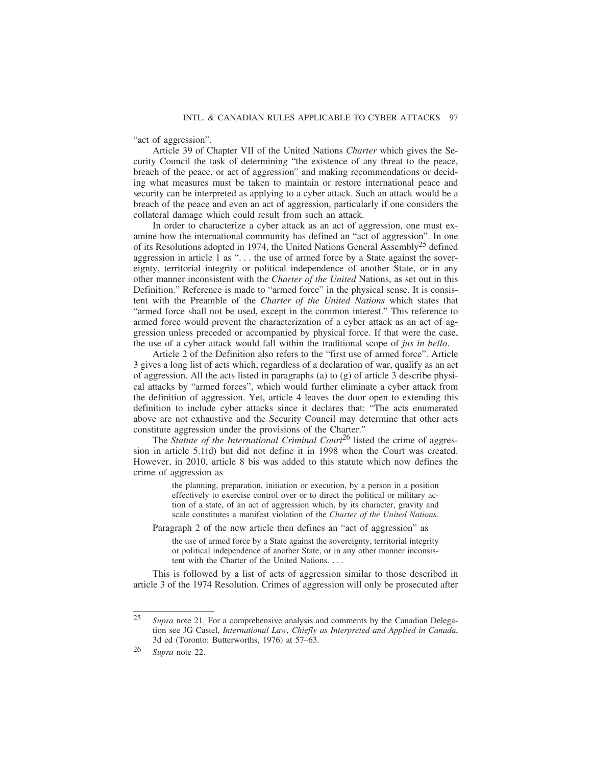"act of aggression".

Article 39 of Chapter VII of the United Nations *Charter* which gives the Security Council the task of determining "the existence of any threat to the peace, breach of the peace, or act of aggression" and making recommendations or deciding what measures must be taken to maintain or restore international peace and security can be interpreted as applying to a cyber attack. Such an attack would be a breach of the peace and even an act of aggression, particularly if one considers the collateral damage which could result from such an attack.

In order to characterize a cyber attack as an act of aggression, one must examine how the international community has defined an "act of aggression". In one of its Resolutions adopted in 1974, the United Nations General Assembly<sup>25</sup> defined aggression in article 1 as ". . . the use of armed force by a State against the sovereignty, territorial integrity or political independence of another State, or in any other manner inconsistent with the *Charter of the United* Nations, as set out in this Definition." Reference is made to "armed force" in the physical sense. It is consistent with the Preamble of the *Charter of the United Nations* which states that "armed force shall not be used, except in the common interest." This reference to armed force would prevent the characterization of a cyber attack as an act of aggression unless preceded or accompanied by physical force. If that were the case, the use of a cyber attack would fall within the traditional scope of *jus in bello*.

Article 2 of the Definition also refers to the "first use of armed force". Article 3 gives a long list of acts which, regardless of a declaration of war, qualify as an act of aggression. All the acts listed in paragraphs (a) to (g) of article 3 describe physical attacks by "armed forces", which would further eliminate a cyber attack from the definition of aggression. Yet, article 4 leaves the door open to extending this definition to include cyber attacks since it declares that: "The acts enumerated above are not exhaustive and the Security Council may determine that other acts constitute aggression under the provisions of the Charter."

The *Statute of the International Criminal Court*<sup>26</sup> listed the crime of aggression in article 5.1(d) but did not define it in 1998 when the Court was created. However, in 2010, article 8 bis was added to this statute which now defines the crime of aggression as

> the planning, preparation, initiation or execution, by a person in a position effectively to exercise control over or to direct the political or military action of a state, of an act of aggression which, by its character, gravity and scale constitutes a manifest violation of the *Charter of the United Nations*.

Paragraph 2 of the new article then defines an "act of aggression" as

the use of armed force by a State against the sovereignty, territorial integrity or political independence of another State, or in any other manner inconsistent with the Charter of the United Nations. . . .

This is followed by a list of acts of aggression similar to those described in article 3 of the 1974 Resolution. Crimes of aggression will only be prosecuted after

<sup>25</sup> *Supra* note 21. For a comprehensive analysis and comments by the Canadian Delegation see JG Castel, *International Law*, *Chiefly as Interpreted and Applied in Canada*, 3d ed (Toronto: Butterworths, 1976) at 57–63.

<sup>26</sup> *Supra* note 22.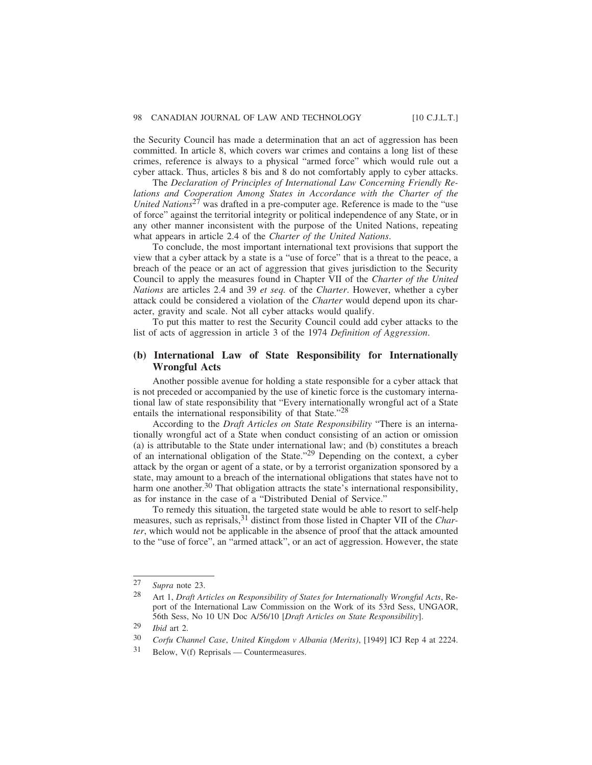the Security Council has made a determination that an act of aggression has been committed. In article 8, which covers war crimes and contains a long list of these crimes, reference is always to a physical "armed force" which would rule out a cyber attack. Thus, articles 8 bis and 8 do not comfortably apply to cyber attacks.

The *Declaration of Principles of International Law Concerning Friendly Relations and Cooperation Among States in Accordance with the Charter of the United Nations*27 was drafted in a pre-computer age. Reference is made to the "use of force" against the territorial integrity or political independence of any State, or in any other manner inconsistent with the purpose of the United Nations, repeating what appears in article 2.4 of the *Charter of the United Nations*.

To conclude, the most important international text provisions that support the view that a cyber attack by a state is a "use of force" that is a threat to the peace, a breach of the peace or an act of aggression that gives jurisdiction to the Security Council to apply the measures found in Chapter VII of the *Charter of the United Nations* are articles 2.4 and 39 *et seq.* of the *Charter*. However, whether a cyber attack could be considered a violation of the *Charter* would depend upon its character, gravity and scale. Not all cyber attacks would qualify.

To put this matter to rest the Security Council could add cyber attacks to the list of acts of aggression in article 3 of the 1974 *Definition of Aggression*.

#### **(b) International Law of State Responsibility for Internationally Wrongful Acts**

Another possible avenue for holding a state responsible for a cyber attack that is not preceded or accompanied by the use of kinetic force is the customary international law of state responsibility that "Every internationally wrongful act of a State entails the international responsibility of that State."<sup>28</sup>

According to the *Draft Articles on State Responsibility* "There is an internationally wrongful act of a State when conduct consisting of an action or omission (a) is attributable to the State under international law; and (b) constitutes a breach of an international obligation of the State."29 Depending on the context, a cyber attack by the organ or agent of a state, or by a terrorist organization sponsored by a state, may amount to a breach of the international obligations that states have not to harm one another.<sup>30</sup> That obligation attracts the state's international responsibility, as for instance in the case of a "Distributed Denial of Service."

To remedy this situation, the targeted state would be able to resort to self-help measures, such as reprisals,<sup>31</sup> distinct from those listed in Chapter VII of the *Charter*, which would not be applicable in the absence of proof that the attack amounted to the "use of force", an "armed attack", or an act of aggression. However, the state

<sup>27</sup> *Supra* note 23.

<sup>28</sup> Art 1, *Draft Articles on Responsibility of States for Internationally Wrongful Acts*, Report of the International Law Commission on the Work of its 53rd Sess, UNGAOR, 56th Sess, No 10 UN Doc A/56/10 [*Draft Articles on State Responsibility*].

<sup>29</sup> *Ibid* art 2.

<sup>30</sup> *Corfu Channel Case*, *United Kingdom v Albania (Merits)*, [1949] ICJ Rep 4 at 2224.

<sup>31</sup> Below, V(f) Reprisals — Countermeasures.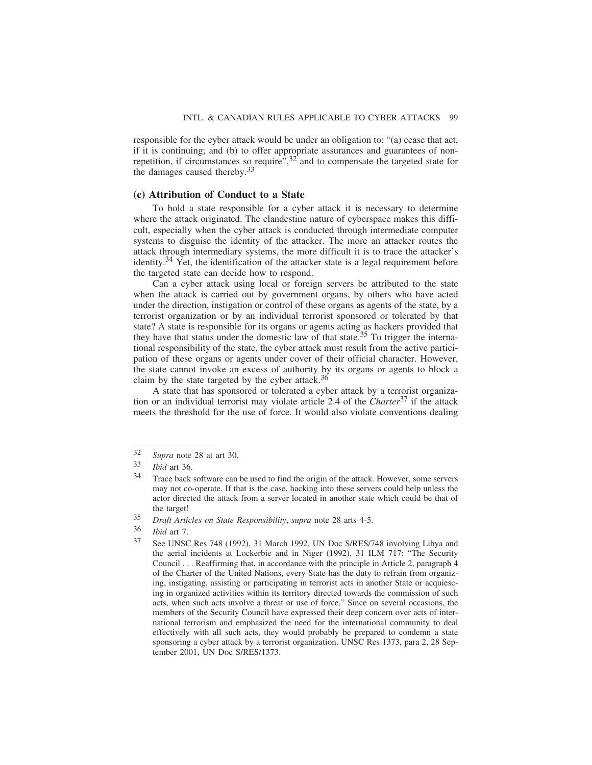responsible for the cyber attack would be under an obligation to: "(a) cease that act, if it is continuing; and (b) to offer appropriate assurances and guarantees of nonrepetition, if circumstances so require<sup> $\ddot{r}$ </sup>,<sup>32</sup> and to compensate the targeted state for the damages caused thereby.<sup>33</sup>

#### **(c) Attribution of Conduct to a State**

To hold a state responsible for a cyber attack it is necessary to determine where the attack originated. The clandestine nature of cyberspace makes this difficult, especially when the cyber attack is conducted through intermediate computer systems to disguise the identity of the attacker. The more an attacker routes the attack through intermediary systems, the more difficult it is to trace the attacker's identity.<sup>34</sup> Yet, the identification of the attacker state is a legal requirement before the targeted state can decide how to respond.

Can a cyber attack using local or foreign servers be attributed to the state when the attack is carried out by government organs, by others who have acted under the direction, instigation or control of these organs as agents of the state, by a terrorist organization or by an individual terrorist sponsored or tolerated by that state? A state is responsible for its organs or agents acting as hackers provided that they have that status under the domestic law of that state.<sup>35</sup> To trigger the international responsibility of the state, the cyber attack must result from the active participation of these organs or agents under cover of their official character. However, the state cannot invoke an excess of authority by its organs or agents to block a claim by the state targeted by the cyber attack.<sup>36</sup>

A state that has sponsored or tolerated a cyber attack by a terrorist organization or an individual terrorist may violate article 2.4 of the *Charter*37 if the attack meets the threshold for the use of force. It would also violate conventions dealing

<sup>32</sup> *Supra* note 28 at art 30.

<sup>33</sup> *Ibid* art 36.

<sup>34</sup> Trace back software can be used to find the origin of the attack. However, some servers may not co-operate. If that is the case, hacking into these servers could help unless the actor directed the attack from a server located in another state which could be that of the target!

<sup>35</sup> *Draft Articles on State Responsibility*, *supra* note 28 arts 4-5.

<sup>36</sup> *Ibid* art 7.

<sup>37</sup> See UNSC Res 748 (1992), 31 March 1992, UN Doc S/RES/748 involving Libya and the aerial incidents at Lockerbie and in Niger (1992), 31 ILM 717: "The Security Council . . . Reaffirming that, in accordance with the principle in Article 2, paragraph 4 of the Charter of the United Nations, every State has the duty to refrain from organizing, instigating, assisting or participating in terrorist acts in another State or acquiescing in organized activities within its territory directed towards the commission of such acts, when such acts involve a threat or use of force." Since on several occasions, the members of the Security Council have expressed their deep concern over acts of international terrorism and emphasized the need for the international community to deal effectively with all such acts, they would probably be prepared to condemn a state sponsoring a cyber attack by a terrorist organization. UNSC Res 1373, para 2, 28 September 2001, UN Doc S/RES/1373.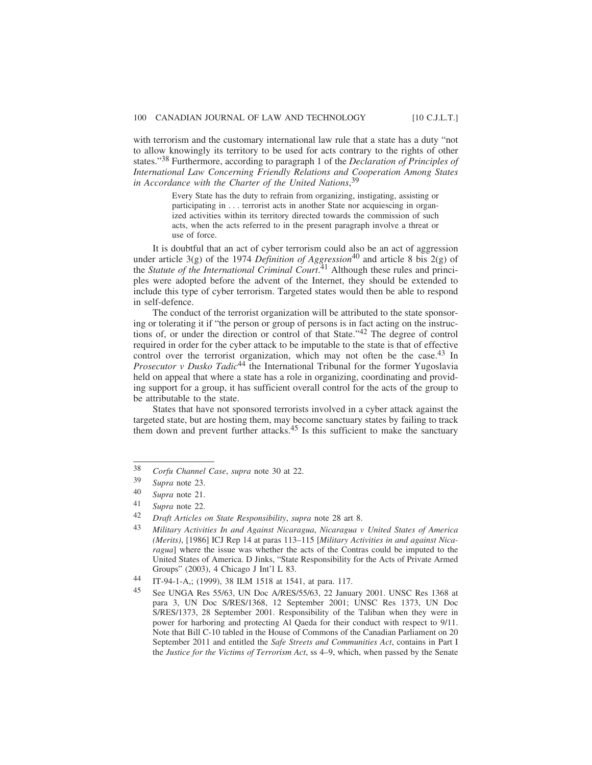with terrorism and the customary international law rule that a state has a duty "not to allow knowingly its territory to be used for acts contrary to the rights of other states."38 Furthermore, according to paragraph 1 of the *Declaration of Principles of International Law Concerning Friendly Relations and Cooperation Among States in Accordance with the Charter of the United Nations*, 39

> Every State has the duty to refrain from organizing, instigating, assisting or participating in . . . terrorist acts in another State nor acquiescing in organized activities within its territory directed towards the commission of such acts, when the acts referred to in the present paragraph involve a threat or use of force.

It is doubtful that an act of cyber terrorism could also be an act of aggression under article 3(g) of the 1974 *Definition of Aggression*<sup>40</sup> and article 8 bis 2(g) of the *Statute of the International Criminal Court*. 41 Although these rules and principles were adopted before the advent of the Internet, they should be extended to include this type of cyber terrorism. Targeted states would then be able to respond in self-defence.

The conduct of the terrorist organization will be attributed to the state sponsoring or tolerating it if "the person or group of persons is in fact acting on the instructions of, or under the direction or control of that State."42 The degree of control required in order for the cyber attack to be imputable to the state is that of effective control over the terrorist organization, which may not often be the case.<sup>43</sup> In *Prosecutor v Dusko Tadic*<sup>44</sup> the International Tribunal for the former Yugoslavia held on appeal that where a state has a role in organizing, coordinating and providing support for a group, it has sufficient overall control for the acts of the group to be attributable to the state.

States that have not sponsored terrorists involved in a cyber attack against the targeted state, but are hosting them, may become sanctuary states by failing to track them down and prevent further attacks.<sup>45</sup> Is this sufficient to make the sanctuary

<sup>38</sup> *Corfu Channel Case*, *supra* note 30 at 22.

<sup>39</sup> *Supra* note 23.

Supra note 21.

<sup>41</sup> *Supra* note 22.

<sup>42</sup> *Draft Articles on State Responsibility*, *supra* note 28 art 8.

<sup>43</sup> *Military Activities In and Against Nicaragua*, *Nicaragua v United States of America (Merits)*, [1986] ICJ Rep 14 at paras 113–115 [*Military Activities in and against Nicaragua*] where the issue was whether the acts of the Contras could be imputed to the United States of America. D Jinks, "State Responsibility for the Acts of Private Armed Groups" (2003), 4 Chicago J Int'l L 83.

<sup>44</sup> IT-94-1-A,; (1999), 38 ILM 1518 at 1541, at para. 117.

<sup>45</sup> See UNGA Res 55/63, UN Doc A/RES/55/63, 22 January 2001. UNSC Res 1368 at para 3, UN Doc S/RES/1368, 12 September 2001; UNSC Res 1373, UN Doc S/RES/1373, 28 September 2001. Responsibility of the Taliban when they were in power for harboring and protecting Al Qaeda for their conduct with respect to 9/11. Note that Bill C-10 tabled in the House of Commons of the Canadian Parliament on 20 September 2011 and entitled the *Safe Streets and Communities Act*, contains in Part I the *Justice for the Victims of Terrorism Act*, ss 4–9, which, when passed by the Senate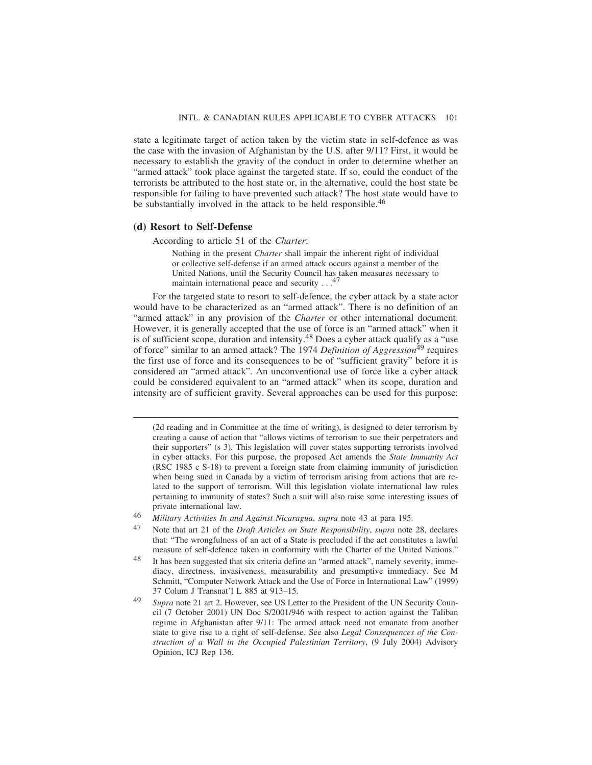state a legitimate target of action taken by the victim state in self-defence as was the case with the invasion of Afghanistan by the U.S. after 9/11? First, it would be necessary to establish the gravity of the conduct in order to determine whether an "armed attack" took place against the targeted state. If so, could the conduct of the terrorists be attributed to the host state or, in the alternative, could the host state be responsible for failing to have prevented such attack? The host state would have to be substantially involved in the attack to be held responsible.<sup>46</sup>

#### **(d) Resort to Self-Defense**

According to article 51 of the *Charter*:

Nothing in the present *Charter* shall impair the inherent right of individual or collective self-defense if an armed attack occurs against a member of the United Nations, until the Security Council has taken measures necessary to maintain international peace and security  $\ldots$ <sup>47</sup>

For the targeted state to resort to self-defence, the cyber attack by a state actor would have to be characterized as an "armed attack". There is no definition of an "armed attack" in any provision of the *Charter* or other international document. However, it is generally accepted that the use of force is an "armed attack" when it is of sufficient scope, duration and intensity.<sup>48</sup> Does a cyber attack qualify as a "use" of force" similar to an armed attack? The 1974 *Definition of Aggression*49 requires the first use of force and its consequences to be of "sufficient gravity" before it is considered an "armed attack". An unconventional use of force like a cyber attack could be considered equivalent to an "armed attack" when its scope, duration and intensity are of sufficient gravity. Several approaches can be used for this purpose:

<sup>(2</sup>d reading and in Committee at the time of writing), is designed to deter terrorism by creating a cause of action that "allows victims of terrorism to sue their perpetrators and their supporters" (s 3). This legislation will cover states supporting terrorists involved in cyber attacks. For this purpose, the proposed Act amends the *State Immunity Act* (RSC 1985 c S-18) to prevent a foreign state from claiming immunity of jurisdiction when being sued in Canada by a victim of terrorism arising from actions that are related to the support of terrorism. Will this legislation violate international law rules pertaining to immunity of states? Such a suit will also raise some interesting issues of private international law.

<sup>46</sup> *Military Activities In and Against Nicaragua*, *supra* note 43 at para 195.

<sup>47</sup> Note that art 21 of the *Draft Articles on State Responsibility*, *supra* note 28, declares that: "The wrongfulness of an act of a State is precluded if the act constitutes a lawful measure of self-defence taken in conformity with the Charter of the United Nations."

<sup>48</sup> It has been suggested that six criteria define an "armed attack", namely severity, immediacy, directness, invasiveness, measurability and presumptive immediacy. See M Schmitt, "Computer Network Attack and the Use of Force in International Law" (1999) 37 Colum J Transnat'l L 885 at 913–15.

<sup>49</sup> *Supra* note 21 art 2. However, see US Letter to the President of the UN Security Council (7 October 2001) UN Doc S/2001/946 with respect to action against the Taliban regime in Afghanistan after 9/11: The armed attack need not emanate from another state to give rise to a right of self-defense. See also *Legal Consequences of the Construction of a Wall in the Occupied Palestinian Territory*, (9 July 2004) Advisory Opinion, ICJ Rep 136.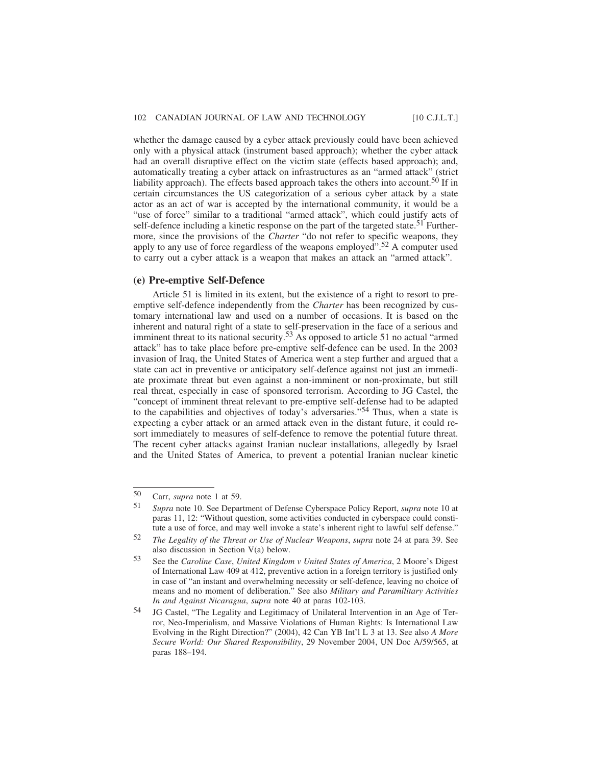whether the damage caused by a cyber attack previously could have been achieved only with a physical attack (instrument based approach); whether the cyber attack had an overall disruptive effect on the victim state (effects based approach); and, automatically treating a cyber attack on infrastructures as an "armed attack" (strict liability approach). The effects based approach takes the others into account.<sup>50</sup> If in certain circumstances the US categorization of a serious cyber attack by a state actor as an act of war is accepted by the international community, it would be a "use of force" similar to a traditional "armed attack", which could justify acts of self-defence including a kinetic response on the part of the targeted state.<sup>51</sup> Furthermore, since the provisions of the *Charter* "do not refer to specific weapons, they apply to any use of force regardless of the weapons employed".<sup>52</sup> A computer used to carry out a cyber attack is a weapon that makes an attack an "armed attack".

#### **(e) Pre-emptive Self-Defence**

Article 51 is limited in its extent, but the existence of a right to resort to preemptive self-defence independently from the *Charter* has been recognized by customary international law and used on a number of occasions. It is based on the inherent and natural right of a state to self-preservation in the face of a serious and imminent threat to its national security.53 As opposed to article 51 no actual "armed attack" has to take place before pre-emptive self-defence can be used. In the 2003 invasion of Iraq, the United States of America went a step further and argued that a state can act in preventive or anticipatory self-defence against not just an immediate proximate threat but even against a non-imminent or non-proximate, but still real threat, especially in case of sponsored terrorism. According to JG Castel, the "concept of imminent threat relevant to pre-emptive self-defense had to be adapted to the capabilities and objectives of today's adversaries."54 Thus, when a state is expecting a cyber attack or an armed attack even in the distant future, it could resort immediately to measures of self-defence to remove the potential future threat. The recent cyber attacks against Iranian nuclear installations, allegedly by Israel and the United States of America, to prevent a potential Iranian nuclear kinetic

<sup>50</sup> Carr, *supra* note 1 at 59.

<sup>51</sup> *Supra* note 10. See Department of Defense Cyberspace Policy Report, *supra* note 10 at paras 11, 12: "Without question, some activities conducted in cyberspace could constitute a use of force, and may well invoke a state's inherent right to lawful self defense."

<sup>52</sup> *The Legality of the Threat or Use of Nuclear Weapons*, *supra* note 24 at para 39. See also discussion in Section V(a) below.

<sup>53</sup> See the *Caroline Case*, *United Kingdom v United States of America*, 2 Moore's Digest of International Law 409 at 412, preventive action in a foreign territory is justified only in case of "an instant and overwhelming necessity or self-defence, leaving no choice of means and no moment of deliberation." See also *Military and Paramilitary Activities In and Against Nicaragua*, *supra* note 40 at paras 102-103.

<sup>54</sup> JG Castel, "The Legality and Legitimacy of Unilateral Intervention in an Age of Terror, Neo-Imperialism, and Massive Violations of Human Rights: Is International Law Evolving in the Right Direction?" (2004), 42 Can YB Int'l L 3 at 13. See also *A More Secure World: Our Shared Responsibility*, 29 November 2004, UN Doc A/59/565, at paras 188–194.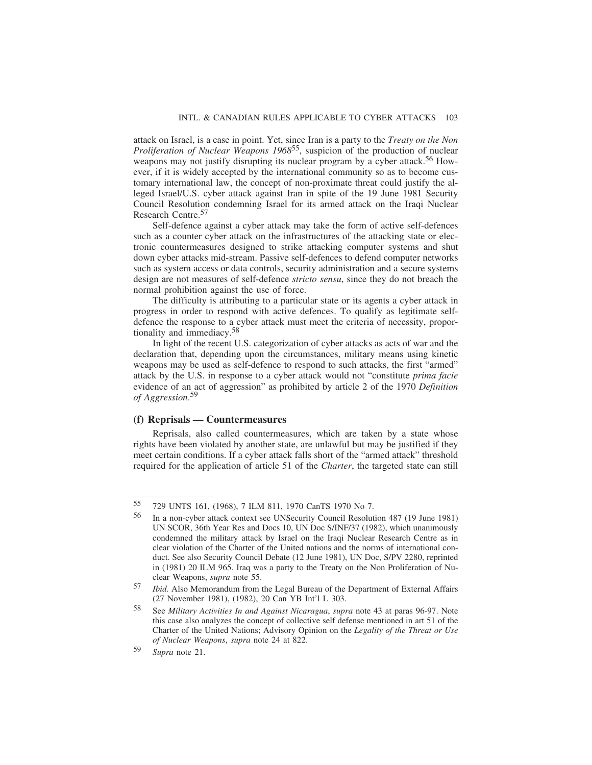attack on Israel, is a case in point. Yet, since Iran is a party to the *Treaty on the Non Proliferation of Nuclear Weapons 1968*<sup>55</sup>, suspicion of the production of nuclear weapons may not justify disrupting its nuclear program by a cyber attack.<sup>56</sup> However, if it is widely accepted by the international community so as to become customary international law, the concept of non-proximate threat could justify the alleged Israel/U.S. cyber attack against Iran in spite of the 19 June 1981 Security Council Resolution condemning Israel for its armed attack on the Iraqi Nuclear Research Centre.<sup>57</sup>

Self-defence against a cyber attack may take the form of active self-defences such as a counter cyber attack on the infrastructures of the attacking state or electronic countermeasures designed to strike attacking computer systems and shut down cyber attacks mid-stream. Passive self-defences to defend computer networks such as system access or data controls, security administration and a secure systems design are not measures of self-defence *stricto sensu*, since they do not breach the normal prohibition against the use of force.

The difficulty is attributing to a particular state or its agents a cyber attack in progress in order to respond with active defences. To qualify as legitimate selfdefence the response to a cyber attack must meet the criteria of necessity, proportionality and immediacy.58

In light of the recent U.S. categorization of cyber attacks as acts of war and the declaration that, depending upon the circumstances, military means using kinetic weapons may be used as self-defence to respond to such attacks, the first "armed" attack by the U.S. in response to a cyber attack would not "constitute *prima facie* evidence of an act of aggression" as prohibited by article 2 of the 1970 *Definition of Aggression*. 59

#### **(f) Reprisals — Countermeasures**

Reprisals, also called countermeasures, which are taken by a state whose rights have been violated by another state, are unlawful but may be justified if they meet certain conditions. If a cyber attack falls short of the "armed attack" threshold required for the application of article 51 of the *Charter*, the targeted state can still

<sup>55</sup> 729 UNTS 161, (1968), 7 ILM 811, 1970 CanTS 1970 No 7.

<sup>56</sup> In a non-cyber attack context see UNSecurity Council Resolution 487 (19 June 1981) UN SCOR, 36th Year Res and Docs 10, UN Doc S/INF/37 (1982), which unanimously condemned the military attack by Israel on the Iraqi Nuclear Research Centre as in clear violation of the Charter of the United nations and the norms of international conduct. See also Security Council Debate (12 June 1981), UN Doc, S/PV 2280, reprinted in (1981) 20 ILM 965. Iraq was a party to the Treaty on the Non Proliferation of Nuclear Weapons, *supra* note 55.

<sup>57</sup> *Ibid.* Also Memorandum from the Legal Bureau of the Department of External Affairs (27 November 1981), (1982), 20 Can YB Int'l L 303.

<sup>58</sup> See *Military Activities In and Against Nicaragua*, *supra* note 43 at paras 96-97. Note this case also analyzes the concept of collective self defense mentioned in art 51 of the Charter of the United Nations; Advisory Opinion on the *Legality of the Threat or Use of Nuclear Weapons*, *supra* note 24 at 822.

<sup>59</sup> *Supra* note 21.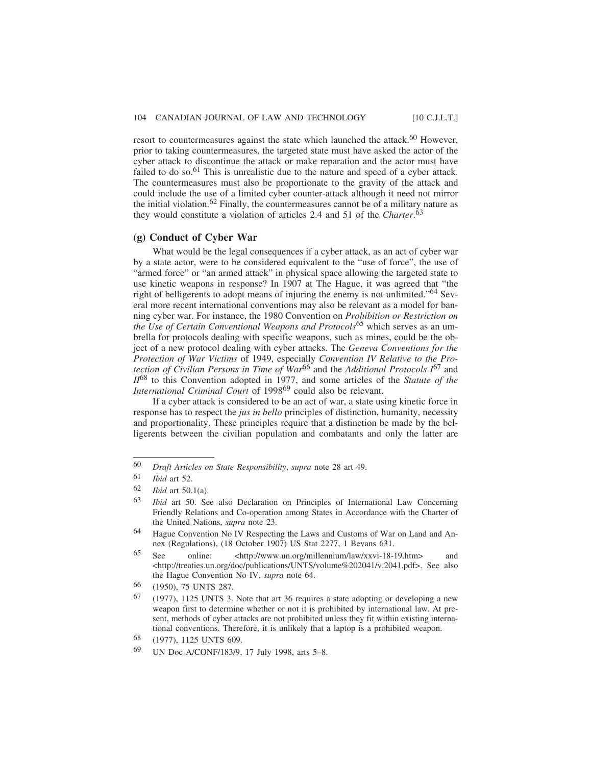resort to countermeasures against the state which launched the attack.<sup>60</sup> However, prior to taking countermeasures, the targeted state must have asked the actor of the cyber attack to discontinue the attack or make reparation and the actor must have failed to do so.<sup>61</sup> This is unrealistic due to the nature and speed of a cyber attack. The countermeasures must also be proportionate to the gravity of the attack and could include the use of a limited cyber counter-attack although it need not mirror the initial violation.<sup>62</sup> Finally, the countermeasures cannot be of a military nature as they would constitute a violation of articles 2.4 and 51 of the *Charter*. 63

#### **(g) Conduct of Cyber War**

What would be the legal consequences if a cyber attack, as an act of cyber war by a state actor, were to be considered equivalent to the "use of force", the use of "armed force" or "an armed attack" in physical space allowing the targeted state to use kinetic weapons in response? In 1907 at The Hague, it was agreed that "the right of belligerents to adopt means of injuring the enemy is not unlimited."64 Several more recent international conventions may also be relevant as a model for banning cyber war. For instance, the 1980 Convention on *Prohibition or Restriction on the Use of Certain Conventional Weapons and Protocols*<sup>65</sup> which serves as an umbrella for protocols dealing with specific weapons, such as mines, could be the object of a new protocol dealing with cyber attacks. The *Geneva Conventions for the Protection of War Victims* of 1949, especially *Convention IV Relative to the Protection of Civilian Persons in Time of War*66 and the *Additional Protocols I*67 and *II*68 to this Convention adopted in 1977, and some articles of the *Statute of the International Criminal Court* of 199869 could also be relevant.

If a cyber attack is considered to be an act of war, a state using kinetic force in response has to respect the *jus in bello* principles of distinction, humanity, necessity and proportionality. These principles require that a distinction be made by the belligerents between the civilian population and combatants and only the latter are

<sup>60</sup> *Draft Articles on State Responsibility*, *supra* note 28 art 49.

 $\frac{61}{62}$  *Ibid* art 52.

*Ibid* art 50.1(a).

<sup>63</sup> *Ibid* art 50. See also Declaration on Principles of International Law Concerning Friendly Relations and Co-operation among States in Accordance with the Charter of the United Nations, *supra* note 23.

<sup>64</sup> Hague Convention No IV Respecting the Laws and Customs of War on Land and Annex (Regulations), (18 October 1907) US Stat 2277, 1 Bevans 631.

<sup>65</sup> See online: <http://www.un.org/millennium/law/xxvi-18-19.htm> and <http://treaties.un.org/doc/publications/UNTS/volume%202041/v.2041.pdf>. See also the Hague Convention No IV, *supra* note 64.

<sup>66</sup> (1950), 75 UNTS 287.

 $67$  (1977), 1125 UNTS 3. Note that art 36 requires a state adopting or developing a new weapon first to determine whether or not it is prohibited by international law. At present, methods of cyber attacks are not prohibited unless they fit within existing international conventions. Therefore, it is unlikely that a laptop is a prohibited weapon.

<sup>68</sup> (1977), 1125 UNTS 609.

<sup>69</sup> UN Doc A/CONF/183/9, 17 July 1998, arts 5–8.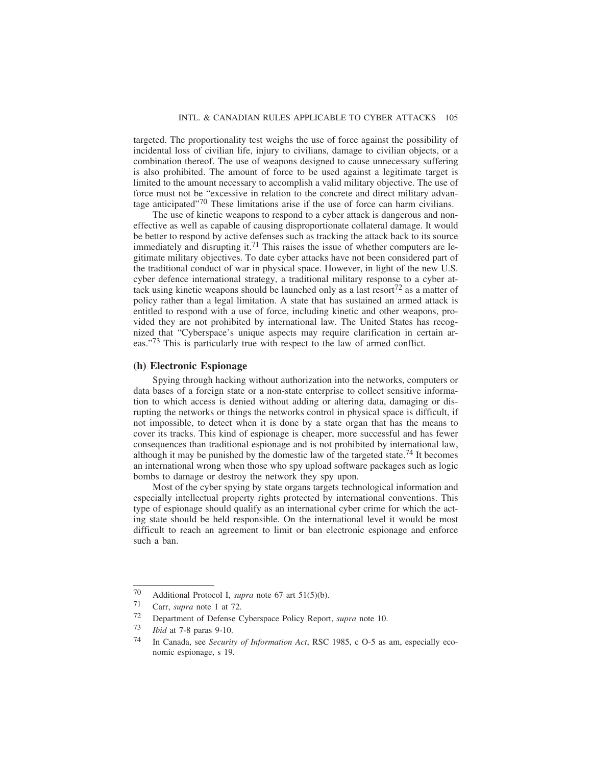targeted. The proportionality test weighs the use of force against the possibility of incidental loss of civilian life, injury to civilians, damage to civilian objects, or a combination thereof. The use of weapons designed to cause unnecessary suffering is also prohibited. The amount of force to be used against a legitimate target is limited to the amount necessary to accomplish a valid military objective. The use of force must not be "excessive in relation to the concrete and direct military advantage anticipated $170$  These limitations arise if the use of force can harm civilians.

The use of kinetic weapons to respond to a cyber attack is dangerous and noneffective as well as capable of causing disproportionate collateral damage. It would be better to respond by active defenses such as tracking the attack back to its source immediately and disrupting it.<sup>71</sup> This raises the issue of whether computers are legitimate military objectives. To date cyber attacks have not been considered part of the traditional conduct of war in physical space. However, in light of the new U.S. cyber defence international strategy, a traditional military response to a cyber attack using kinetic weapons should be launched only as a last resort<sup>72</sup> as a matter of policy rather than a legal limitation. A state that has sustained an armed attack is entitled to respond with a use of force, including kinetic and other weapons, provided they are not prohibited by international law. The United States has recognized that "Cyberspace's unique aspects may require clarification in certain areas."73 This is particularly true with respect to the law of armed conflict.

#### **(h) Electronic Espionage**

Spying through hacking without authorization into the networks, computers or data bases of a foreign state or a non-state enterprise to collect sensitive information to which access is denied without adding or altering data, damaging or disrupting the networks or things the networks control in physical space is difficult, if not impossible, to detect when it is done by a state organ that has the means to cover its tracks. This kind of espionage is cheaper, more successful and has fewer consequences than traditional espionage and is not prohibited by international law, although it may be punished by the domestic law of the targeted state.<sup>74</sup> It becomes an international wrong when those who spy upload software packages such as logic bombs to damage or destroy the network they spy upon.

Most of the cyber spying by state organs targets technological information and especially intellectual property rights protected by international conventions. This type of espionage should qualify as an international cyber crime for which the acting state should be held responsible. On the international level it would be most difficult to reach an agreement to limit or ban electronic espionage and enforce such a ban.

<sup>70</sup> Additional Protocol I, *supra* note 67 art 51(5)(b).<br>  $71$  Carr, *supra* note 1 at 72

Carr, *supra* note 1 at 72.

<sup>72</sup> Department of Defense Cyberspace Policy Report, *supra* note 10.<br>73 *Ibid.* at 7.8 paras 9.10

*Ibid* at 7-8 paras 9-10.

<sup>74</sup> In Canada, see *Security of Information Act*, RSC 1985, c O-5 as am, especially economic espionage, s 19.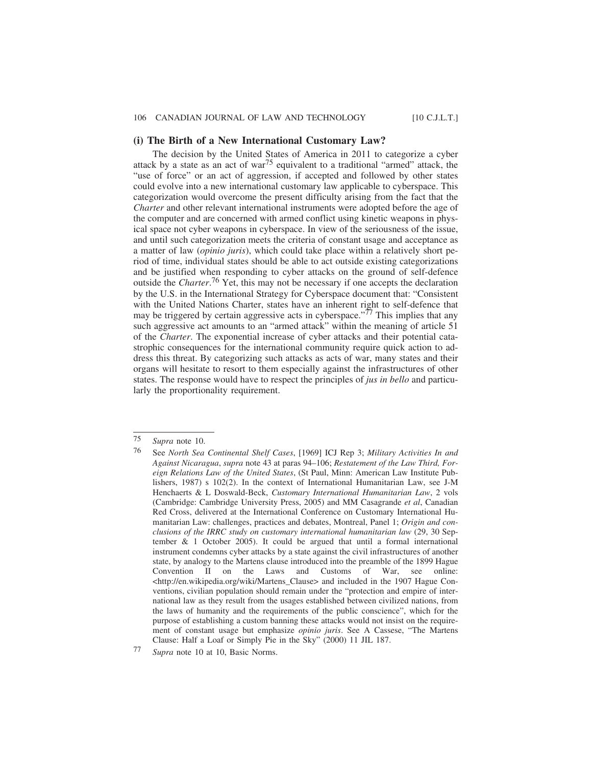#### **(i) The Birth of a New International Customary Law?**

The decision by the United States of America in 2011 to categorize a cyber attack by a state as an act of war<sup>75</sup> equivalent to a traditional "armed" attack, the "use of force" or an act of aggression, if accepted and followed by other states could evolve into a new international customary law applicable to cyberspace. This categorization would overcome the present difficulty arising from the fact that the *Charter* and other relevant international instruments were adopted before the age of the computer and are concerned with armed conflict using kinetic weapons in physical space not cyber weapons in cyberspace. In view of the seriousness of the issue, and until such categorization meets the criteria of constant usage and acceptance as a matter of law (*opinio juris*), which could take place within a relatively short period of time, individual states should be able to act outside existing categorizations and be justified when responding to cyber attacks on the ground of self-defence outside the *Charter*. 76 Yet, this may not be necessary if one accepts the declaration by the U.S. in the International Strategy for Cyberspace document that: "Consistent with the United Nations Charter, states have an inherent right to self-defence that may be triggered by certain aggressive acts in cyberspace.<sup> $.77$ </sup> This implies that any such aggressive act amounts to an "armed attack" within the meaning of article 51 of the *Charter*. The exponential increase of cyber attacks and their potential catastrophic consequences for the international community require quick action to address this threat. By categorizing such attacks as acts of war, many states and their organs will hesitate to resort to them especially against the infrastructures of other states. The response would have to respect the principles of *jus in bello* and particularly the proportionality requirement.

<sup>75</sup> *Supra* note 10.

<sup>76</sup> See *North Sea Continental Shelf Cases*, [1969] ICJ Rep 3; *Military Activities In and Against Nicaragua*, *supra* note 43 at paras 94–106; *Restatement of the Law Third, Foreign Relations Law of the United States*, (St Paul, Minn: American Law Institute Publishers, 1987) s 102(2). In the context of International Humanitarian Law, see J-M Henchaerts & L Doswald-Beck, *Customary International Humanitarian Law*, 2 vols (Cambridge: Cambridge University Press, 2005) and MM Casagrande *et al*, Canadian Red Cross, delivered at the International Conference on Customary International Humanitarian Law: challenges, practices and debates, Montreal, Panel 1; *Origin and conclusions of the IRRC study on customary international humanitarian law* (29, 30 September & 1 October 2005). It could be argued that until a formal international instrument condemns cyber attacks by a state against the civil infrastructures of another state, by analogy to the Martens clause introduced into the preamble of the 1899 Hague Convention II on the Laws and Customs of War, see online:  $\langle$ http://en.wikipedia.org/wiki/Martens\_Clause> and included in the 1907 Hague Conventions, civilian population should remain under the "protection and empire of international law as they result from the usages established between civilized nations, from the laws of humanity and the requirements of the public conscience", which for the purpose of establishing a custom banning these attacks would not insist on the requirement of constant usage but emphasize *opinio juris*. See A Cassese, "The Martens Clause: Half a Loaf or Simply Pie in the Sky" (2000) 11 JIL 187.

<sup>77</sup> *Supra* note 10 at 10, Basic Norms.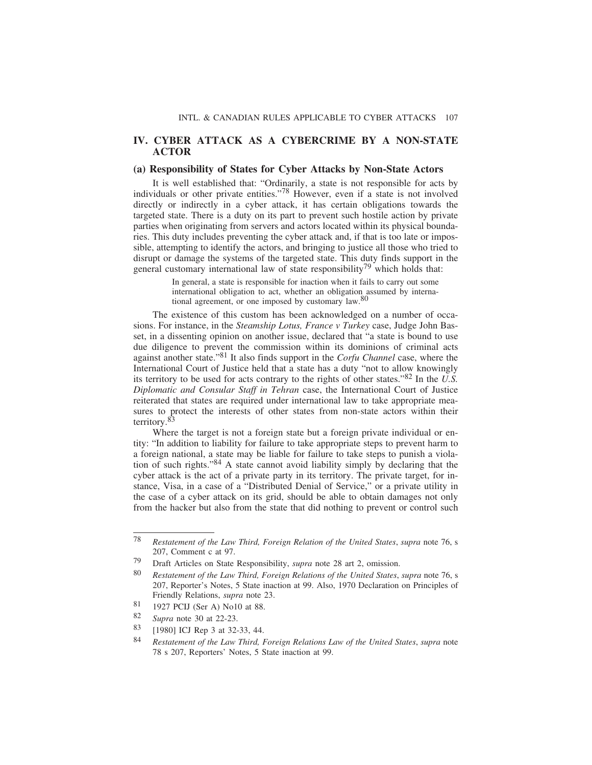#### **IV. CYBER ATTACK AS A CYBERCRIME BY A NON-STATE ACTOR**

#### **(a) Responsibility of States for Cyber Attacks by Non-State Actors**

It is well established that: "Ordinarily, a state is not responsible for acts by individuals or other private entities."78 However, even if a state is not involved directly or indirectly in a cyber attack, it has certain obligations towards the targeted state. There is a duty on its part to prevent such hostile action by private parties when originating from servers and actors located within its physical boundaries. This duty includes preventing the cyber attack and, if that is too late or impossible, attempting to identify the actors, and bringing to justice all those who tried to disrupt or damage the systems of the targeted state. This duty finds support in the general customary international law of state responsibility<sup>79</sup> which holds that:

> In general, a state is responsible for inaction when it fails to carry out some international obligation to act, whether an obligation assumed by international agreement, or one imposed by customary law.<sup>80</sup>

The existence of this custom has been acknowledged on a number of occasions. For instance, in the *Steamship Lotus, France v Turkey* case, Judge John Basset, in a dissenting opinion on another issue, declared that "a state is bound to use due diligence to prevent the commission within its dominions of criminal acts against another state."81 It also finds support in the *Corfu Channel* case, where the International Court of Justice held that a state has a duty "not to allow knowingly its territory to be used for acts contrary to the rights of other states."82 In the *U.S. Diplomatic and Consular Staff in Tehran* case, the International Court of Justice reiterated that states are required under international law to take appropriate measures to protect the interests of other states from non-state actors within their territory.83

Where the target is not a foreign state but a foreign private individual or entity: "In addition to liability for failure to take appropriate steps to prevent harm to a foreign national, a state may be liable for failure to take steps to punish a violation of such rights."84 A state cannot avoid liability simply by declaring that the cyber attack is the act of a private party in its territory. The private target, for instance, Visa, in a case of a "Distributed Denial of Service," or a private utility in the case of a cyber attack on its grid, should be able to obtain damages not only from the hacker but also from the state that did nothing to prevent or control such

<sup>78</sup> *Restatement of the Law Third, Foreign Relation of the United States*, *supra* note 76, s 207, Comment c at 97.

<sup>79</sup> Draft Articles on State Responsibility, *supra* note 28 art 2, omission.

<sup>80</sup> *Restatement of the Law Third, Foreign Relations of the United States*, *supra* note 76, s 207, Reporter's Notes, 5 State inaction at 99. Also, 1970 Declaration on Principles of Friendly Relations, *supra* note 23.

<sup>81</sup> 1927 PCIJ (Ser A) No10 at 88.

<sup>82</sup> *Supra* note 30 at 22-23.

<sup>83</sup> [1980] ICJ Rep 3 at 32-33, 44.

<sup>84</sup> *Restatement of the Law Third, Foreign Relations Law of the United States*, *supra* note 78 s 207, Reporters' Notes, 5 State inaction at 99.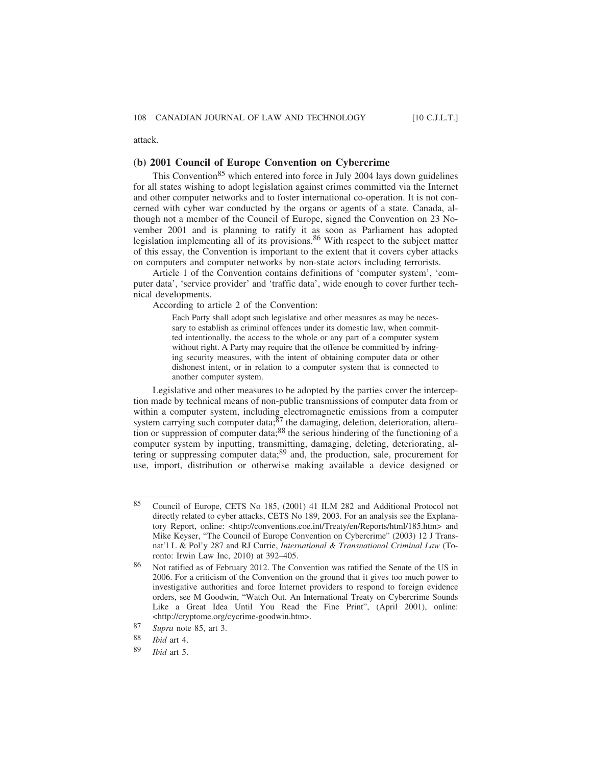attack.

#### **(b) 2001 Council of Europe Convention on Cybercrime**

This Convention<sup>85</sup> which entered into force in July 2004 lays down guidelines for all states wishing to adopt legislation against crimes committed via the Internet and other computer networks and to foster international co-operation. It is not concerned with cyber war conducted by the organs or agents of a state. Canada, although not a member of the Council of Europe, signed the Convention on 23 November 2001 and is planning to ratify it as soon as Parliament has adopted legislation implementing all of its provisions.86 With respect to the subject matter of this essay, the Convention is important to the extent that it covers cyber attacks on computers and computer networks by non-state actors including terrorists.

Article 1 of the Convention contains definitions of 'computer system', 'computer data', 'service provider' and 'traffic data', wide enough to cover further technical developments.

According to article 2 of the Convention:

Each Party shall adopt such legislative and other measures as may be necessary to establish as criminal offences under its domestic law, when committed intentionally, the access to the whole or any part of a computer system without right. A Party may require that the offence be committed by infringing security measures, with the intent of obtaining computer data or other dishonest intent, or in relation to a computer system that is connected to another computer system.

Legislative and other measures to be adopted by the parties cover the interception made by technical means of non-public transmissions of computer data from or within a computer system, including electromagnetic emissions from a computer system carrying such computer data; $87$  the damaging, deletion, deterioration, alteration or suppression of computer data;<sup>88</sup> the serious hindering of the functioning of a computer system by inputting, transmitting, damaging, deleting, deteriorating, altering or suppressing computer data;89 and, the production, sale, procurement for use, import, distribution or otherwise making available a device designed or

<sup>85</sup> Council of Europe, CETS No 185, (2001) 41 ILM 282 and Additional Protocol not directly related to cyber attacks, CETS No 189, 2003. For an analysis see the Explanatory Report, online: <http://conventions.coe.int/Treaty/en/Reports/html/185.htm> and Mike Keyser, "The Council of Europe Convention on Cybercrime" (2003) 12 J Transnat'l L & Pol'y 287 and RJ Currie, *International & Transnational Criminal Law* (Toronto: Irwin Law Inc, 2010) at 392–405.

<sup>86</sup> Not ratified as of February 2012. The Convention was ratified the Senate of the US in 2006. For a criticism of the Convention on the ground that it gives too much power to investigative authorities and force Internet providers to respond to foreign evidence orders, see M Goodwin, "Watch Out. An International Treaty on Cybercrime Sounds Like a Great Idea Until You Read the Fine Print", (April 2001), online: <http://cryptome.org/cycrime-goodwin.htm>.

<sup>87</sup> *Supra* note 85, art 3.

<sup>88</sup> *Ibid* art 4.

<sup>89</sup> *Ibid* art 5.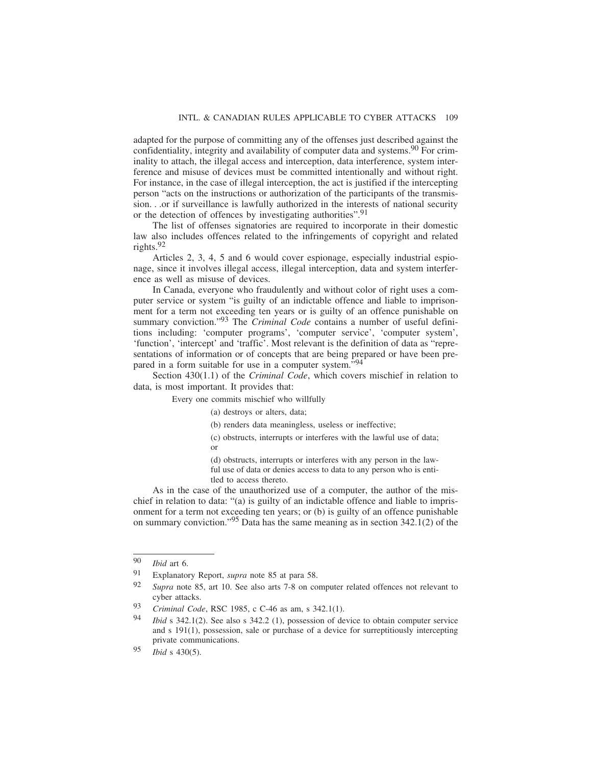adapted for the purpose of committing any of the offenses just described against the confidentiality, integrity and availability of computer data and systems.<sup>90</sup> For criminality to attach, the illegal access and interception, data interference, system interference and misuse of devices must be committed intentionally and without right. For instance, in the case of illegal interception, the act is justified if the intercepting person "acts on the instructions or authorization of the participants of the transmission. . .or if surveillance is lawfully authorized in the interests of national security or the detection of offences by investigating authorities".<sup>91</sup>

The list of offenses signatories are required to incorporate in their domestic law also includes offences related to the infringements of copyright and related rights. $92$ 

Articles 2, 3, 4, 5 and 6 would cover espionage, especially industrial espionage, since it involves illegal access, illegal interception, data and system interference as well as misuse of devices.

In Canada, everyone who fraudulently and without color of right uses a computer service or system "is guilty of an indictable offence and liable to imprisonment for a term not exceeding ten years or is guilty of an offence punishable on summary conviction."93 The *Criminal Code* contains a number of useful definitions including: 'computer programs', 'computer service', 'computer system', 'function', 'intercept' and 'traffic'. Most relevant is the definition of data as "representations of information or of concepts that are being prepared or have been prepared in a form suitable for use in a computer system."<sup>94</sup>

Section 430(1.1) of the *Criminal Code*, which covers mischief in relation to data, is most important. It provides that:

Every one commits mischief who willfully

- (a) destroys or alters, data;
- (b) renders data meaningless, useless or ineffective;
- (c) obstructs, interrupts or interferes with the lawful use of data; or

(d) obstructs, interrupts or interferes with any person in the lawful use of data or denies access to data to any person who is entitled to access thereto.

As in the case of the unauthorized use of a computer, the author of the mischief in relation to data: "(a) is guilty of an indictable offence and liable to imprisonment for a term not exceeding ten years; or (b) is guilty of an offence punishable on summary conviction."95 Data has the same meaning as in section 342.1(2) of the

<sup>90</sup> *Ibid* art 6.

<sup>91</sup> Explanatory Report, *supra* note 85 at para 58.

<sup>92</sup> *Supra* note 85, art 10. See also arts 7-8 on computer related offences not relevant to cyber attacks.

<sup>93</sup> *Criminal Code*, RSC 1985, c C-46 as am, s 342.1(1).

<sup>94</sup> *Ibid* s 342.1(2). See also s 342.2 (1), possession of device to obtain computer service and s 191(1), possession, sale or purchase of a device for surreptitiously intercepting private communications.

<sup>95</sup> *Ibid* s 430(5).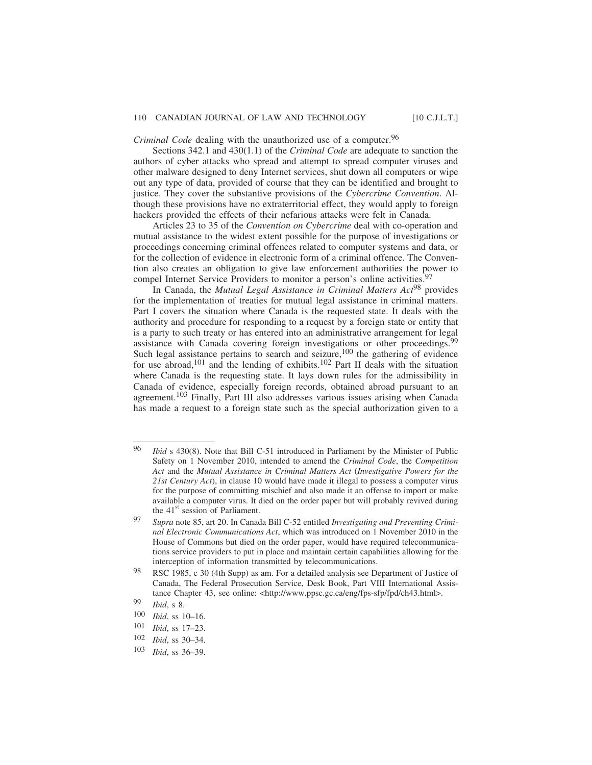*Criminal Code* dealing with the unauthorized use of a computer.<sup>96</sup>

Sections 342.1 and 430(1.1) of the *Criminal Code* are adequate to sanction the authors of cyber attacks who spread and attempt to spread computer viruses and other malware designed to deny Internet services, shut down all computers or wipe out any type of data, provided of course that they can be identified and brought to justice. They cover the substantive provisions of the *Cybercrime Convention*. Although these provisions have no extraterritorial effect, they would apply to foreign hackers provided the effects of their nefarious attacks were felt in Canada.

Articles 23 to 35 of the *Convention on Cybercrime* deal with co-operation and mutual assistance to the widest extent possible for the purpose of investigations or proceedings concerning criminal offences related to computer systems and data, or for the collection of evidence in electronic form of a criminal offence. The Convention also creates an obligation to give law enforcement authorities the power to compel Internet Service Providers to monitor a person's online activities.<sup>97</sup>

In Canada, the *Mutual Legal Assistance in Criminal Matters Act*98 provides for the implementation of treaties for mutual legal assistance in criminal matters. Part I covers the situation where Canada is the requested state. It deals with the authority and procedure for responding to a request by a foreign state or entity that is a party to such treaty or has entered into an administrative arrangement for legal assistance with Canada covering foreign investigations or other proceedings.<sup>9</sup> Such legal assistance pertains to search and seizure,<sup>100</sup> the gathering of evidence for use abroad,<sup>101</sup> and the lending of exhibits.<sup>102</sup> Part II deals with the situation where Canada is the requesting state. It lays down rules for the admissibility in Canada of evidence, especially foreign records, obtained abroad pursuant to an agreement.103 Finally, Part III also addresses various issues arising when Canada has made a request to a foreign state such as the special authorization given to a

<sup>96</sup> *Ibid* s 430(8). Note that Bill C-51 introduced in Parliament by the Minister of Public Safety on 1 November 2010, intended to amend the *Criminal Code*, the *Competition Act* and the *Mutual Assistance in Criminal Matters Act* (*Investigative Powers for the 21st Century Act*), in clause 10 would have made it illegal to possess a computer virus for the purpose of committing mischief and also made it an offense to import or make available a computer virus. It died on the order paper but will probably revived during the  $41<sup>st</sup>$  session of Parliament.

<sup>97</sup> *Supra* note 85, art 20. In Canada Bill C-52 entitled *Investigating and Preventing Criminal Electronic Communications Act*, which was introduced on 1 November 2010 in the House of Commons but died on the order paper, would have required telecommunications service providers to put in place and maintain certain capabilities allowing for the interception of information transmitted by telecommunications.

<sup>98</sup> RSC 1985, c 30 (4th Supp) as am. For a detailed analysis see Department of Justice of Canada, The Federal Prosecution Service, Desk Book, Part VIII International Assistance Chapter 43, see online: <http://www.ppsc.gc.ca/eng/fps-sfp/fpd/ch43.html>.

<sup>99</sup> *Ibid*, s 8.

 $\frac{100}{101}$  *Ibid*, ss 10–16.

*Ibid*, ss 17-23.

<sup>102</sup> *Ibid*, ss 30–34.

<sup>103</sup> *Ibid*, ss 36–39.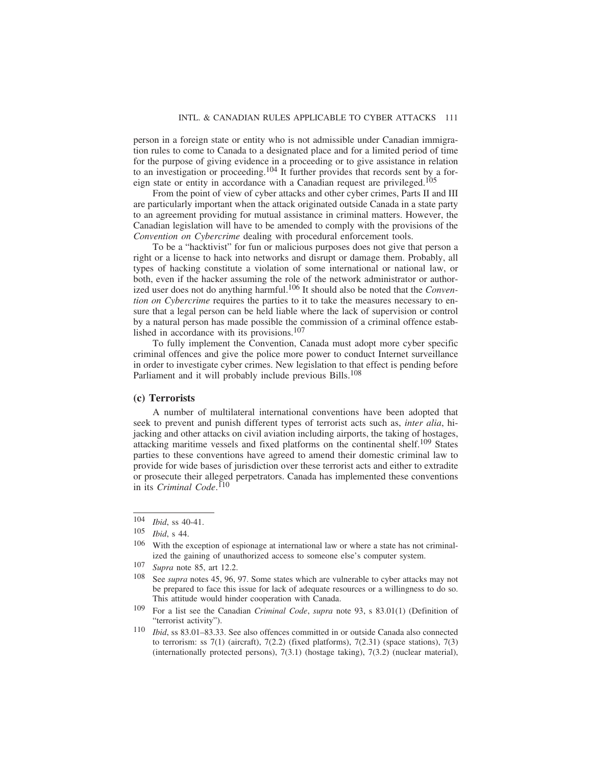person in a foreign state or entity who is not admissible under Canadian immigration rules to come to Canada to a designated place and for a limited period of time for the purpose of giving evidence in a proceeding or to give assistance in relation to an investigation or proceeding.104 It further provides that records sent by a foreign state or entity in accordance with a Canadian request are privileged.105

From the point of view of cyber attacks and other cyber crimes, Parts II and III are particularly important when the attack originated outside Canada in a state party to an agreement providing for mutual assistance in criminal matters. However, the Canadian legislation will have to be amended to comply with the provisions of the *Convention on Cybercrime* dealing with procedural enforcement tools.

To be a "hacktivist" for fun or malicious purposes does not give that person a right or a license to hack into networks and disrupt or damage them. Probably, all types of hacking constitute a violation of some international or national law, or both, even if the hacker assuming the role of the network administrator or authorized user does not do anything harmful.106 It should also be noted that the *Convention on Cybercrime* requires the parties to it to take the measures necessary to ensure that a legal person can be held liable where the lack of supervision or control by a natural person has made possible the commission of a criminal offence established in accordance with its provisions.107

To fully implement the Convention, Canada must adopt more cyber specific criminal offences and give the police more power to conduct Internet surveillance in order to investigate cyber crimes. New legislation to that effect is pending before Parliament and it will probably include previous Bills.<sup>108</sup>

#### **(c) Terrorists**

A number of multilateral international conventions have been adopted that seek to prevent and punish different types of terrorist acts such as, *inter alia*, hijacking and other attacks on civil aviation including airports, the taking of hostages, attacking maritime vessels and fixed platforms on the continental shelf.109 States parties to these conventions have agreed to amend their domestic criminal law to provide for wide bases of jurisdiction over these terrorist acts and either to extradite or prosecute their alleged perpetrators. Canada has implemented these conventions in its *Criminal Code*. 110

<sup>104</sup> *Ibid*, ss 40-41.

<sup>105</sup> *Ibid*, s 44.

 $106$  With the exception of espionage at international law or where a state has not criminalized the gaining of unauthorized access to someone else's computer system.

<sup>107</sup> *Supra* note 85, art 12.2.<br>108 See supra potes 45, 96

See *supra* notes 45, 96, 97. Some states which are vulnerable to cyber attacks may not be prepared to face this issue for lack of adequate resources or a willingness to do so. This attitude would hinder cooperation with Canada.

<sup>109</sup> For a list see the Canadian *Criminal Code*, *supra* note 93, s 83.01(1) (Definition of "terrorist activity").

<sup>110</sup> *Ibid*, ss 83.01–83.33. See also offences committed in or outside Canada also connected to terrorism: ss  $7(1)$  (aircraft),  $7(2.2)$  (fixed platforms),  $7(2.31)$  (space stations),  $7(3)$ (internationally protected persons), 7(3.1) (hostage taking), 7(3.2) (nuclear material),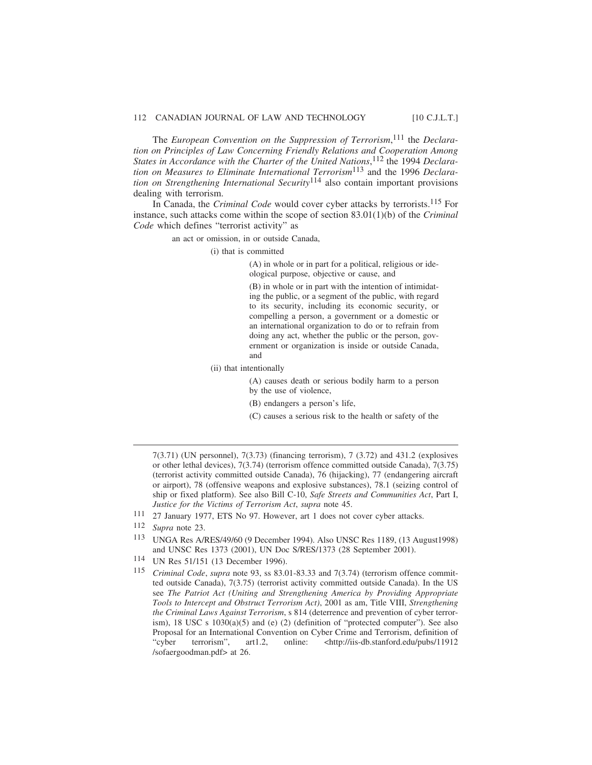The *European Convention on the Suppression of Terrorism*, 111 the *Declaration on Principles of Law Concerning Friendly Relations and Cooperation Among States in Accordance with the Charter of the United Nations*, 112 the 1994 *Declaration on Measures to Eliminate International Terrorism*113 and the 1996 *Declaration on Strengthening International Security*114 also contain important provisions dealing with terrorism.

In Canada, the *Criminal Code* would cover cyber attacks by terrorists.115 For instance, such attacks come within the scope of section 83.01(1)(b) of the *Criminal Code* which defines "terrorist activity" as

an act or omission, in or outside Canada,

(i) that is committed

(A) in whole or in part for a political, religious or ideological purpose, objective or cause, and

(B) in whole or in part with the intention of intimidating the public, or a segment of the public, with regard to its security, including its economic security, or compelling a person, a government or a domestic or an international organization to do or to refrain from doing any act, whether the public or the person, government or organization is inside or outside Canada, and

(ii) that intentionally

(A) causes death or serious bodily harm to a person by the use of violence,

(B) endangers a person's life,

(C) causes a serious risk to the health or safety of the

- 111 27 January 1977, ETS No 97. However, art 1 does not cover cyber attacks.
- 112 *Supra* note 23.
- 113 UNGA Res A/RES/49/60 (9 December 1994). Also UNSC Res 1189, (13 August1998) and UNSC Res 1373 (2001), UN Doc S/RES/1373 (28 September 2001).
- 114 UN Res 51/151 (13 December 1996).
- 115 *Criminal Code*, *supra* note 93, ss 83.01-83.33 and 7(3.74) (terrorism offence committed outside Canada), 7(3.75) (terrorist activity committed outside Canada). In the US see *The Patriot Act (Uniting and Strengthening America by Providing Appropriate Tools to Intercept and Obstruct Terrorism Act)*, 2001 as am, Title VIII, *Strengthening the Criminal Laws Against Terrorism*, s 814 (deterrence and prevention of cyber terrorism), 18 USC s 1030(a)(5) and (e) (2) (definition of "protected computer"). See also Proposal for an International Convention on Cyber Crime and Terrorism, definition of "cyber terrorism", art1.2, online: <http://iis-db.stanford.edu/pubs/11912 /sofaergoodman.pdf> at 26.

<sup>7(3.71) (</sup>UN personnel), 7(3.73) (financing terrorism), 7 (3.72) and 431.2 (explosives or other lethal devices), 7(3.74) (terrorism offence committed outside Canada), 7(3.75) (terrorist activity committed outside Canada), 76 (hijacking), 77 (endangering aircraft or airport), 78 (offensive weapons and explosive substances), 78.1 (seizing control of ship or fixed platform). See also Bill C-10, *Safe Streets and Communities Act*, Part I, *Justice for the Victims of Terrorism Act*, *supra* note 45.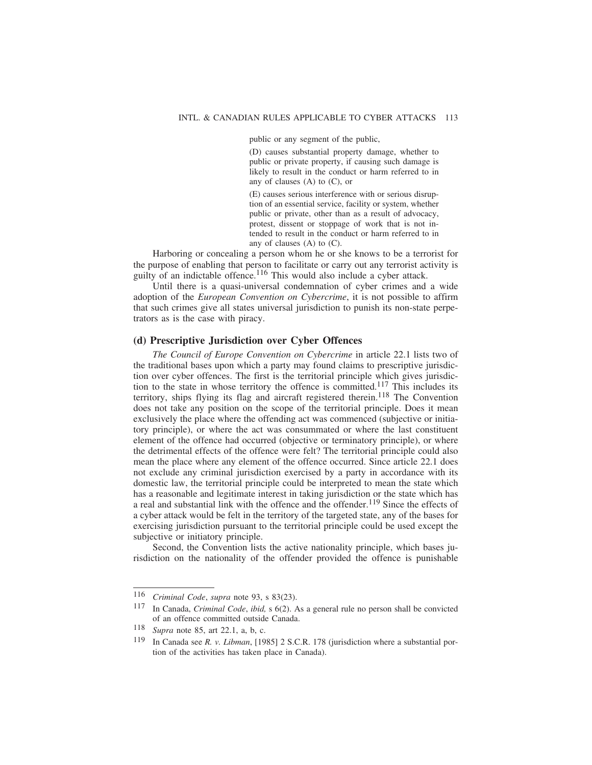public or any segment of the public,

(D) causes substantial property damage, whether to public or private property, if causing such damage is likely to result in the conduct or harm referred to in any of clauses (A) to (C), or

(E) causes serious interference with or serious disruption of an essential service, facility or system, whether public or private, other than as a result of advocacy, protest, dissent or stoppage of work that is not intended to result in the conduct or harm referred to in any of clauses (A) to (C).

Harboring or concealing a person whom he or she knows to be a terrorist for the purpose of enabling that person to facilitate or carry out any terrorist activity is guilty of an indictable offence.<sup>116</sup> This would also include a cyber attack.

Until there is a quasi-universal condemnation of cyber crimes and a wide adoption of the *European Convention on Cybercrime*, it is not possible to affirm that such crimes give all states universal jurisdiction to punish its non-state perpetrators as is the case with piracy.

#### **(d) Prescriptive Jurisdiction over Cyber Offences**

*The Council of Europe Convention on Cybercrime* in article 22.1 lists two of the traditional bases upon which a party may found claims to prescriptive jurisdiction over cyber offences. The first is the territorial principle which gives jurisdiction to the state in whose territory the offence is committed.117 This includes its territory, ships flying its flag and aircraft registered therein.<sup>118</sup> The Convention does not take any position on the scope of the territorial principle. Does it mean exclusively the place where the offending act was commenced (subjective or initiatory principle), or where the act was consummated or where the last constituent element of the offence had occurred (objective or terminatory principle), or where the detrimental effects of the offence were felt? The territorial principle could also mean the place where any element of the offence occurred. Since article 22.1 does not exclude any criminal jurisdiction exercised by a party in accordance with its domestic law, the territorial principle could be interpreted to mean the state which has a reasonable and legitimate interest in taking jurisdiction or the state which has a real and substantial link with the offence and the offender.<sup>119</sup> Since the effects of a cyber attack would be felt in the territory of the targeted state, any of the bases for exercising jurisdiction pursuant to the territorial principle could be used except the subjective or initiatory principle.

Second, the Convention lists the active nationality principle, which bases jurisdiction on the nationality of the offender provided the offence is punishable

<sup>116</sup> *Criminal Code*, *supra* note 93, s 83(23).

<sup>117</sup> In Canada, *Criminal Code*, *ibid,* s 6(2). As a general rule no person shall be convicted of an offence committed outside Canada.

<sup>118</sup> *Supra* note 85, art 22.1, a, b, c.

<sup>119</sup> In Canada see *R. v. Libman*, [1985] 2 S.C.R. 178 (jurisdiction where a substantial portion of the activities has taken place in Canada).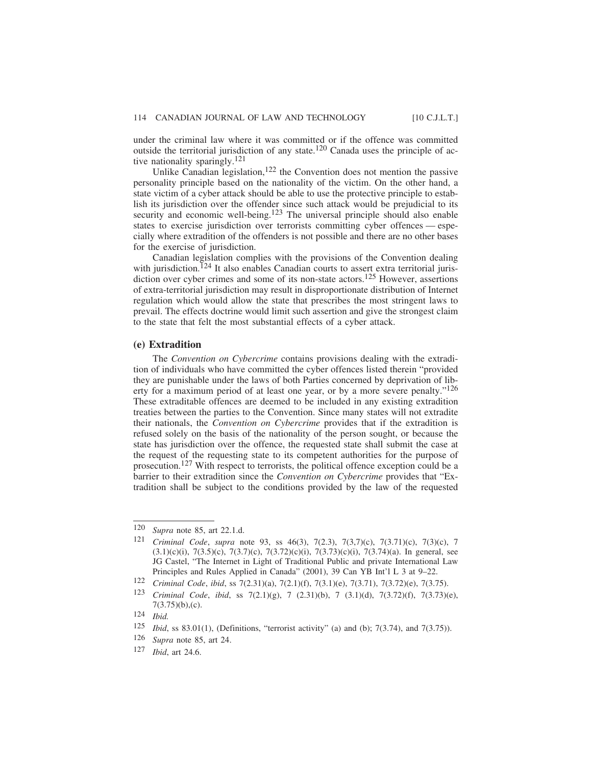under the criminal law where it was committed or if the offence was committed outside the territorial jurisdiction of any state.<sup>120</sup> Canada uses the principle of active nationality sparingly.<sup>121</sup>

Unlike Canadian legislation, $122$  the Convention does not mention the passive personality principle based on the nationality of the victim. On the other hand, a state victim of a cyber attack should be able to use the protective principle to establish its jurisdiction over the offender since such attack would be prejudicial to its security and economic well-being.<sup>123</sup> The universal principle should also enable states to exercise jurisdiction over terrorists committing cyber offences — especially where extradition of the offenders is not possible and there are no other bases for the exercise of jurisdiction.

Canadian legislation complies with the provisions of the Convention dealing with jurisdiction.<sup>124</sup> It also enables Canadian courts to assert extra territorial jurisdiction over cyber crimes and some of its non-state actors.<sup>125</sup> However, assertions of extra-territorial jurisdiction may result in disproportionate distribution of Internet regulation which would allow the state that prescribes the most stringent laws to prevail. The effects doctrine would limit such assertion and give the strongest claim to the state that felt the most substantial effects of a cyber attack.

#### **(e) Extradition**

The *Convention on Cybercrime* contains provisions dealing with the extradition of individuals who have committed the cyber offences listed therein "provided they are punishable under the laws of both Parties concerned by deprivation of liberty for a maximum period of at least one year, or by a more severe penalty."126 These extraditable offences are deemed to be included in any existing extradition treaties between the parties to the Convention. Since many states will not extradite their nationals, the *Convention on Cybercrime* provides that if the extradition is refused solely on the basis of the nationality of the person sought, or because the state has jurisdiction over the offence, the requested state shall submit the case at the request of the requesting state to its competent authorities for the purpose of prosecution.<sup>127</sup> With respect to terrorists, the political offence exception could be a barrier to their extradition since the *Convention on Cybercrime* provides that "Extradition shall be subject to the conditions provided by the law of the requested

<sup>120</sup> *Supra* note 85, art 22.1.d.

<sup>121</sup> *Criminal Code*, *supra* note 93, ss 46(3), 7(2.3), 7(3,7)(c), 7(3.71)(c), 7(3)(c), 7  $(3.1)(c)(i)$ ,  $7(3.5)(c)$ ,  $7(3.7)(c)$ ,  $7(3.72)(c)(i)$ ,  $7(3.73)(c)(i)$ ,  $7(3.74)(a)$ . In general, see JG Castel, "The Internet in Light of Traditional Public and private International Law Principles and Rules Applied in Canada" (2001), 39 Can YB Int'l L 3 at 9–22.

<sup>122</sup> *Criminal Code*, *ibid*, ss 7(2.31)(a), 7(2.1)(f), 7(3.1)(e), 7(3.71), 7(3.72)(e), 7(3.75).

<sup>123</sup> *Criminal Code*, *ibid*, ss 7(2.1)(g), 7 (2.31)(b), 7 (3.1)(d), 7(3.72)(f), 7(3.73)(e), 7(3.75)(b),(c).

<sup>124</sup> *Ibid.*

<sup>125</sup> *Ibid*, ss 83.01(1), (Definitions, "terrorist activity" (a) and (b); 7(3.74), and 7(3.75)).<br>126 *Sunra* note 85 art 24

Supra note 85, art 24.

<sup>127</sup> *Ibid*, art 24.6.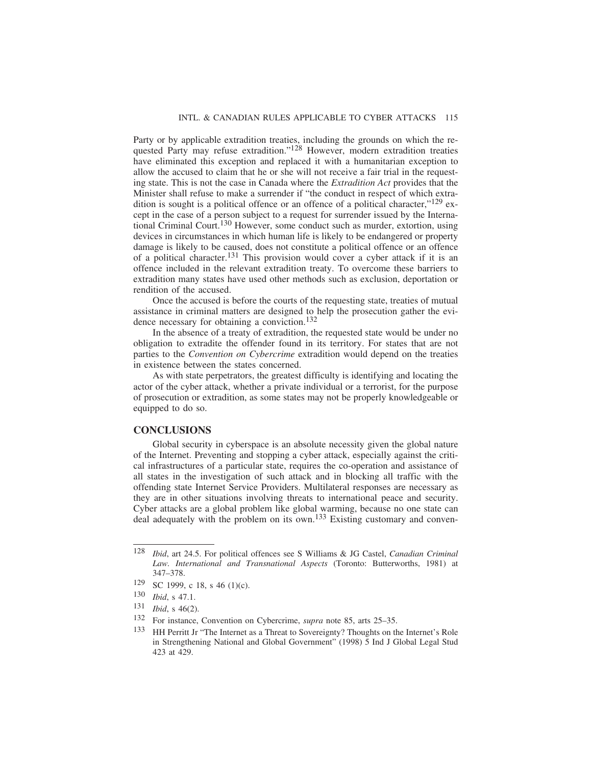Party or by applicable extradition treaties, including the grounds on which the requested Party may refuse extradition."<sup>128</sup> However, modern extradition treaties have eliminated this exception and replaced it with a humanitarian exception to allow the accused to claim that he or she will not receive a fair trial in the requesting state. This is not the case in Canada where the *Extradition Act* provides that the Minister shall refuse to make a surrender if "the conduct in respect of which extradition is sought is a political offence or an offence of a political character," $^{129}$  except in the case of a person subject to a request for surrender issued by the International Criminal Court.130 However, some conduct such as murder, extortion, using devices in circumstances in which human life is likely to be endangered or property damage is likely to be caused, does not constitute a political offence or an offence of a political character.<sup>131</sup> This provision would cover a cyber attack if it is an offence included in the relevant extradition treaty. To overcome these barriers to extradition many states have used other methods such as exclusion, deportation or rendition of the accused.

Once the accused is before the courts of the requesting state, treaties of mutual assistance in criminal matters are designed to help the prosecution gather the evidence necessary for obtaining a conviction.<sup>132</sup>

In the absence of a treaty of extradition, the requested state would be under no obligation to extradite the offender found in its territory. For states that are not parties to the *Convention on Cybercrime* extradition would depend on the treaties in existence between the states concerned.

As with state perpetrators, the greatest difficulty is identifying and locating the actor of the cyber attack, whether a private individual or a terrorist, for the purpose of prosecution or extradition, as some states may not be properly knowledgeable or equipped to do so.

#### **CONCLUSIONS**

Global security in cyberspace is an absolute necessity given the global nature of the Internet. Preventing and stopping a cyber attack, especially against the critical infrastructures of a particular state, requires the co-operation and assistance of all states in the investigation of such attack and in blocking all traffic with the offending state Internet Service Providers. Multilateral responses are necessary as they are in other situations involving threats to international peace and security. Cyber attacks are a global problem like global warming, because no one state can deal adequately with the problem on its own.<sup>133</sup> Existing customary and conven-

<sup>128</sup> *Ibid*, art 24.5. For political offences see S Williams & JG Castel, *Canadian Criminal Law. International and Transnational Aspects* (Toronto: Butterworths, 1981) at 347–378.

<sup>129</sup> SC 1999, c 18, s 46 (1)(c).

<sup>130</sup> *Ibid*, s 47.1.

<sup>131</sup> *Ibid*, s 46(2).

<sup>132</sup> For instance, Convention on Cybercrime, *supra* note 85, arts 25–35.

<sup>&</sup>lt;sup>133</sup> HH Perritt Jr "The Internet as a Threat to Sovereignty? Thoughts on the Internet's Role in Strengthening National and Global Government" (1998) 5 Ind J Global Legal Stud 423 at 429.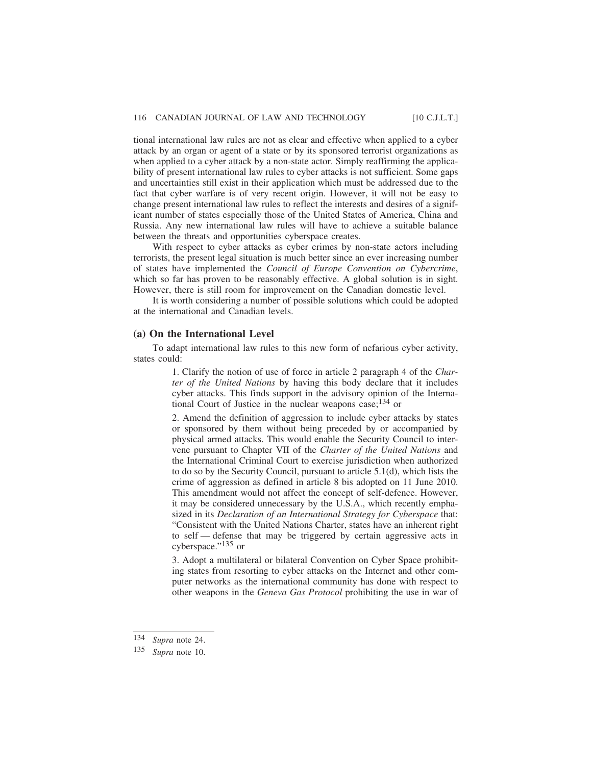tional international law rules are not as clear and effective when applied to a cyber attack by an organ or agent of a state or by its sponsored terrorist organizations as when applied to a cyber attack by a non-state actor. Simply reaffirming the applicability of present international law rules to cyber attacks is not sufficient. Some gaps and uncertainties still exist in their application which must be addressed due to the fact that cyber warfare is of very recent origin. However, it will not be easy to change present international law rules to reflect the interests and desires of a significant number of states especially those of the United States of America, China and Russia. Any new international law rules will have to achieve a suitable balance between the threats and opportunities cyberspace creates.

With respect to cyber attacks as cyber crimes by non-state actors including terrorists, the present legal situation is much better since an ever increasing number of states have implemented the *Council of Europe Convention on Cybercrime*, which so far has proven to be reasonably effective. A global solution is in sight. However, there is still room for improvement on the Canadian domestic level.

It is worth considering a number of possible solutions which could be adopted at the international and Canadian levels.

#### **(a) On the International Level**

To adapt international law rules to this new form of nefarious cyber activity, states could:

> 1. Clarify the notion of use of force in article 2 paragraph 4 of the *Charter of the United Nations* by having this body declare that it includes cyber attacks. This finds support in the advisory opinion of the International Court of Justice in the nuclear weapons case;134 or

> 2. Amend the definition of aggression to include cyber attacks by states or sponsored by them without being preceded by or accompanied by physical armed attacks. This would enable the Security Council to intervene pursuant to Chapter VII of the *Charter of the United Nations* and the International Criminal Court to exercise jurisdiction when authorized to do so by the Security Council, pursuant to article 5.1(d), which lists the crime of aggression as defined in article 8 bis adopted on 11 June 2010. This amendment would not affect the concept of self-defence. However, it may be considered unnecessary by the U.S.A., which recently emphasized in its *Declaration of an International Strategy for Cyberspace* that: "Consistent with the United Nations Charter, states have an inherent right to self — defense that may be triggered by certain aggressive acts in cyberspace."135 or

> 3. Adopt a multilateral or bilateral Convention on Cyber Space prohibiting states from resorting to cyber attacks on the Internet and other computer networks as the international community has done with respect to other weapons in the *Geneva Gas Protocol* prohibiting the use in war of

<sup>134</sup> *Supra* note 24.

<sup>135</sup> *Supra* note 10.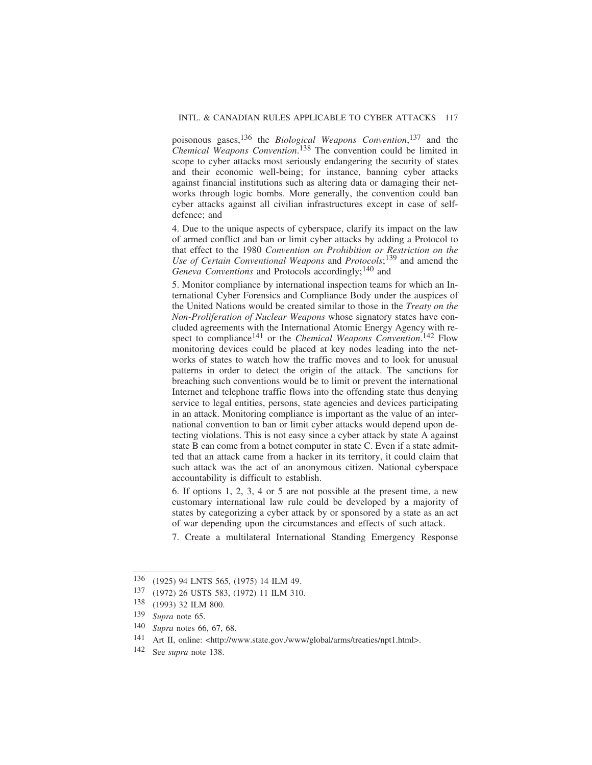poisonous gases,136 the *Biological Weapons Convention*, 137 and the *Chemical Weapons Convention*. 138 The convention could be limited in scope to cyber attacks most seriously endangering the security of states and their economic well-being; for instance, banning cyber attacks against financial institutions such as altering data or damaging their networks through logic bombs. More generally, the convention could ban cyber attacks against all civilian infrastructures except in case of selfdefence; and

4. Due to the unique aspects of cyberspace, clarify its impact on the law of armed conflict and ban or limit cyber attacks by adding a Protocol to that effect to the 1980 *Convention on Prohibition or Restriction on the Use of Certain Conventional Weapons* and *Protocols*; 139 and amend the Geneva Conventions and Protocols accordingly;<sup>140</sup> and

5. Monitor compliance by international inspection teams for which an International Cyber Forensics and Compliance Body under the auspices of the United Nations would be created similar to those in the *Treaty on the Non-Proliferation of Nuclear Weapons* whose signatory states have concluded agreements with the International Atomic Energy Agency with respect to compliance<sup>141</sup> or the *Chemical Weapons Convention*.<sup>142</sup> Flow monitoring devices could be placed at key nodes leading into the networks of states to watch how the traffic moves and to look for unusual patterns in order to detect the origin of the attack. The sanctions for breaching such conventions would be to limit or prevent the international Internet and telephone traffic flows into the offending state thus denying service to legal entities, persons, state agencies and devices participating in an attack. Monitoring compliance is important as the value of an international convention to ban or limit cyber attacks would depend upon detecting violations. This is not easy since a cyber attack by state A against state B can come from a botnet computer in state C. Even if a state admitted that an attack came from a hacker in its territory, it could claim that such attack was the act of an anonymous citizen. National cyberspace accountability is difficult to establish.

6. If options 1, 2, 3, 4 or 5 are not possible at the present time, a new customary international law rule could be developed by a majority of states by categorizing a cyber attack by or sponsored by a state as an act of war depending upon the circumstances and effects of such attack.

7. Create a multilateral International Standing Emergency Response

<sup>136</sup> (1925) 94 LNTS 565, (1975) 14 ILM 49.

<sup>137</sup> (1972) 26 USTS 583, (1972) 11 ILM 310.

<sup>138</sup> (1993) 32 ILM 800.

<sup>139</sup> *Supra* note 65.

 $\frac{140}{141}$  *Supra* notes 66, 67, 68.

Art II, online: <http://www.state.gov./www/global/arms/treaties/npt1.html>.

<sup>142</sup> See *supra* note 138.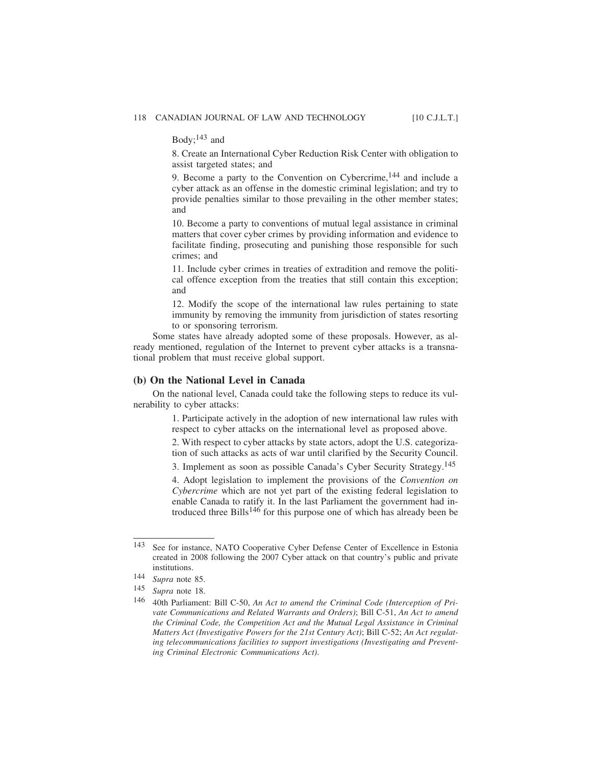Body; $143$  and

8. Create an International Cyber Reduction Risk Center with obligation to assist targeted states; and

9. Become a party to the Convention on Cybercrime,<sup>144</sup> and include a cyber attack as an offense in the domestic criminal legislation; and try to provide penalties similar to those prevailing in the other member states; and

10. Become a party to conventions of mutual legal assistance in criminal matters that cover cyber crimes by providing information and evidence to facilitate finding, prosecuting and punishing those responsible for such crimes; and

11. Include cyber crimes in treaties of extradition and remove the political offence exception from the treaties that still contain this exception; and

12. Modify the scope of the international law rules pertaining to state immunity by removing the immunity from jurisdiction of states resorting to or sponsoring terrorism.

Some states have already adopted some of these proposals. However, as already mentioned, regulation of the Internet to prevent cyber attacks is a transnational problem that must receive global support.

#### **(b) On the National Level in Canada**

On the national level, Canada could take the following steps to reduce its vulnerability to cyber attacks:

> 1. Participate actively in the adoption of new international law rules with respect to cyber attacks on the international level as proposed above.

> 2. With respect to cyber attacks by state actors, adopt the U.S. categorization of such attacks as acts of war until clarified by the Security Council.

> 3. Implement as soon as possible Canada's Cyber Security Strategy.145

4. Adopt legislation to implement the provisions of the *Convention on Cybercrime* which are not yet part of the existing federal legislation to enable Canada to ratify it. In the last Parliament the government had introduced three Bills<sup>146</sup> for this purpose one of which has already been be

<sup>143</sup> See for instance, NATO Cooperative Cyber Defense Center of Excellence in Estonia created in 2008 following the 2007 Cyber attack on that country's public and private institutions.

<sup>144</sup> *Supra* note 85.

<sup>145</sup> *Supra* note 18.

<sup>146</sup> 40th Parliament: Bill C-50, *An Act to amend the Criminal Code (Interception of Private Communications and Related Warrants and Orders)*; Bill C-51, *An Act to amend the Criminal Code, the Competition Act and the Mutual Legal Assistance in Criminal Matters Act (Investigative Powers for the 21st Century Act)*; Bill C-52; *An Act regulating telecommunications facilities to support investigations (Investigating and Preventing Criminal Electronic Communications Act)*.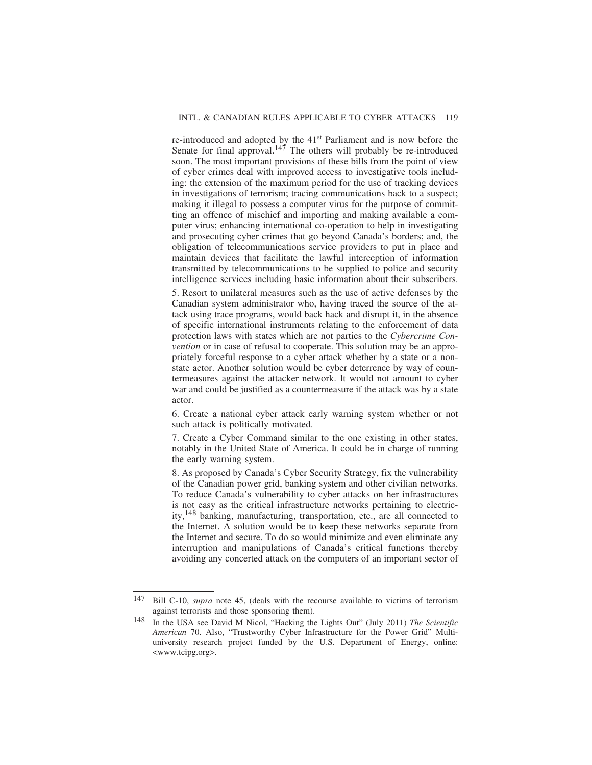re-introduced and adopted by the 41st Parliament and is now before the Senate for final approval.<sup>147</sup> The others will probably be re-introduced soon. The most important provisions of these bills from the point of view of cyber crimes deal with improved access to investigative tools including: the extension of the maximum period for the use of tracking devices in investigations of terrorism; tracing communications back to a suspect; making it illegal to possess a computer virus for the purpose of committing an offence of mischief and importing and making available a computer virus; enhancing international co-operation to help in investigating and prosecuting cyber crimes that go beyond Canada's borders; and, the obligation of telecommunications service providers to put in place and maintain devices that facilitate the lawful interception of information transmitted by telecommunications to be supplied to police and security intelligence services including basic information about their subscribers.

5. Resort to unilateral measures such as the use of active defenses by the Canadian system administrator who, having traced the source of the attack using trace programs, would back hack and disrupt it, in the absence of specific international instruments relating to the enforcement of data protection laws with states which are not parties to the *Cybercrime Convention* or in case of refusal to cooperate. This solution may be an appropriately forceful response to a cyber attack whether by a state or a nonstate actor. Another solution would be cyber deterrence by way of countermeasures against the attacker network. It would not amount to cyber war and could be justified as a countermeasure if the attack was by a state actor.

6. Create a national cyber attack early warning system whether or not such attack is politically motivated.

7. Create a Cyber Command similar to the one existing in other states, notably in the United State of America. It could be in charge of running the early warning system.

8. As proposed by Canada's Cyber Security Strategy, fix the vulnerability of the Canadian power grid, banking system and other civilian networks. To reduce Canada's vulnerability to cyber attacks on her infrastructures is not easy as the critical infrastructure networks pertaining to electricity,148 banking, manufacturing, transportation, etc., are all connected to the Internet. A solution would be to keep these networks separate from the Internet and secure. To do so would minimize and even eliminate any interruption and manipulations of Canada's critical functions thereby avoiding any concerted attack on the computers of an important sector of

<sup>147</sup> Bill C-10, *supra* note 45, (deals with the recourse available to victims of terrorism against terrorists and those sponsoring them).

<sup>148</sup> In the USA see David M Nicol, "Hacking the Lights Out" (July 2011) *The Scientific American* 70. Also, "Trustworthy Cyber Infrastructure for the Power Grid" Multiuniversity research project funded by the U.S. Department of Energy, online: <www.tcipg.org>.